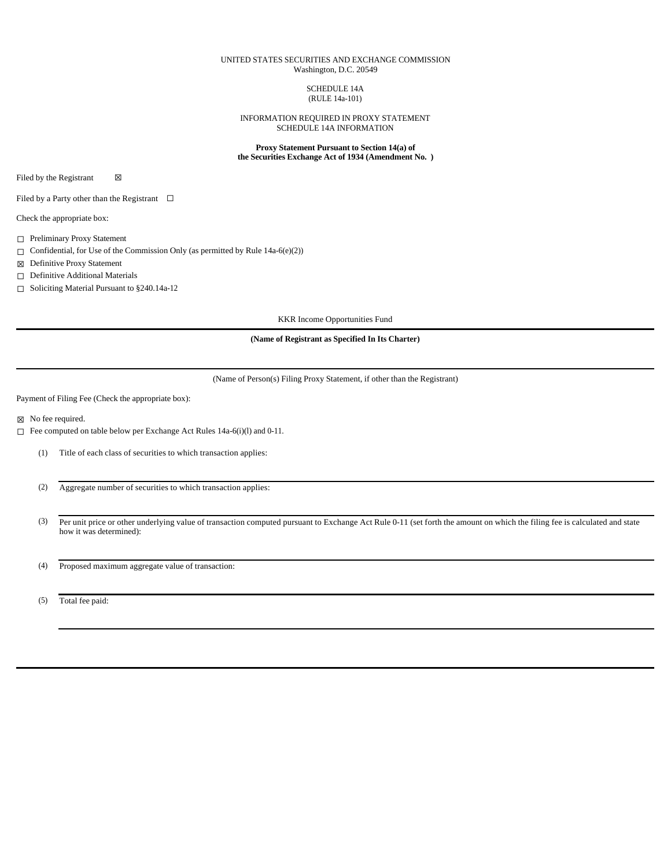## UNITED STATES SECURITIES AND EXCHANGE COMMISSION Washington, D.C. 20549

SCHEDULE 14A (RULE 14a-101)

INFORMATION REQUIRED IN PROXY STATEMENT SCHEDULE 14A INFORMATION

**Proxy Statement Pursuant to Section 14(a) of the Securities Exchange Act of 1934 (Amendment No. )**

Filed by the Registrant  $\boxtimes$ 

Filed by a Party other than the Registrant  $\Box$ 

Check the appropriate box:

☐ Preliminary Proxy Statement

 $\Box$  Confidential, for Use of the Commission Only (as permitted by Rule 14a-6(e)(2))

☒ Definitive Proxy Statement

☐ Definitive Additional Materials

☐ Soliciting Material Pursuant to §240.14a-12

KKR Income Opportunities Fund

**(Name of Registrant as Specified In Its Charter)**

(Name of Person(s) Filing Proxy Statement, if other than the Registrant)

Payment of Filing Fee (Check the appropriate box):

☒ No fee required.

☐ Fee computed on table below per Exchange Act Rules 14a-6(i)(l) and 0-11.

(1) Title of each class of securities to which transaction applies:

(2) Aggregate number of securities to which transaction applies:

(3) Per unit price or other underlying value of transaction computed pursuant to Exchange Act Rule 0-11 (set forth the amount on which the filing fee is calculated and state how it was determined):

(4) Proposed maximum aggregate value of transaction:

(5) Total fee paid: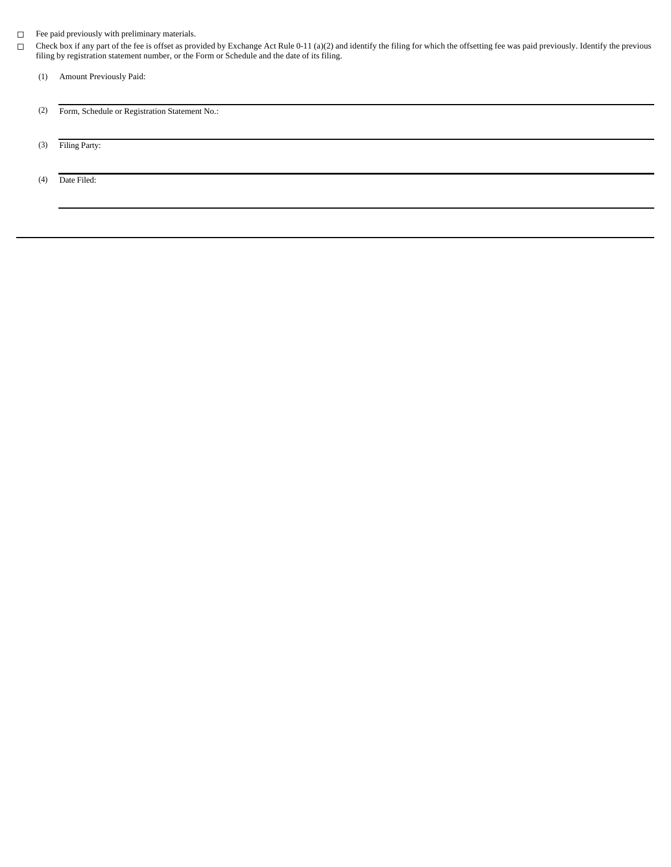## ☐ Fee paid previously with preliminary materials.

- $\Box$  Check box if any part of the fee is offset as provided by Exchange Act Rule 0-11 (a)(2) and identify the filing for which the offsetting fee was paid previously. Identify the previous filing by registration statement
	- (1) Amount Previously Paid:
	- (2) Form, Schedule or Registration Statement No.:
	- (3) Filing Party:

(4) Date Filed: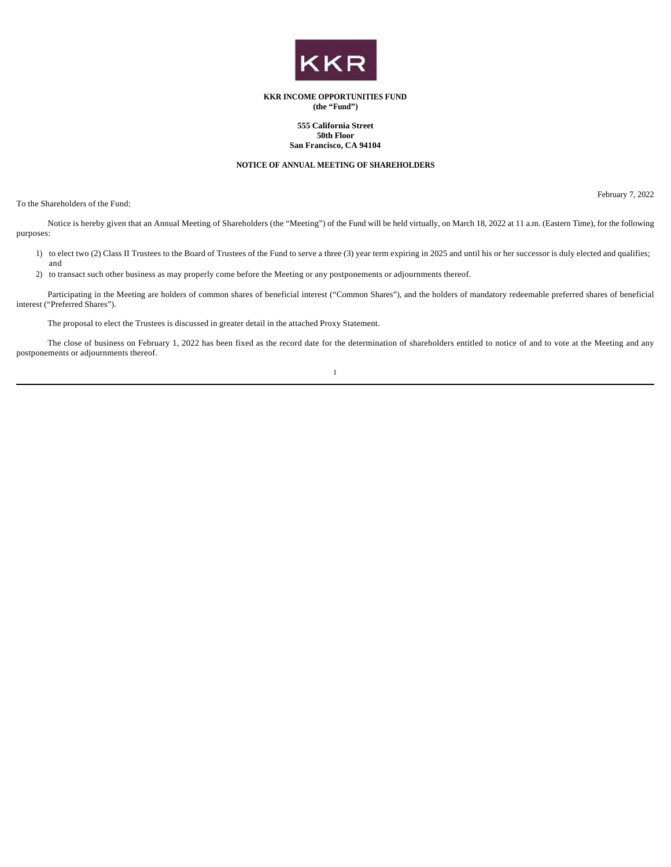

## **KKR INCOME OPPORTUNITIES FUND (the "Fund")**

## **555 California Street 50th Floor San Francisco, CA 94104**

## **NOTICE OF ANNUAL MEETING OF SHAREHOLDERS**

To the Shareholders of the Fund:

February 7, 2022

Notice is hereby given that an Annual Meeting of Shareholders (the "Meeting") of the Fund will be held virtually, on March 18, 2022 at 11 a.m. (Eastern Time), for the following purposes:

- 1) to elect two (2) Class II Trustees to the Board of Trustees of the Fund to serve a three (3) year term expiring in 2025 and until his or her successor is duly elected and qualifies; and
- 2) to transact such other business as may properly come before the Meeting or any postponements or adjournments thereof.

Participating in the Meeting are holders of common shares of beneficial interest ("Common Shares"), and the holders of mandatory redeemable preferred shares of beneficial interest ("Preferred Shares").

The proposal to elect the Trustees is discussed in greater detail in the attached Proxy Statement.

The close of business on February 1, 2022 has been fixed as the record date for the determination of shareholders entitled to notice of and to vote at the Meeting and any postponements or adjournments thereof.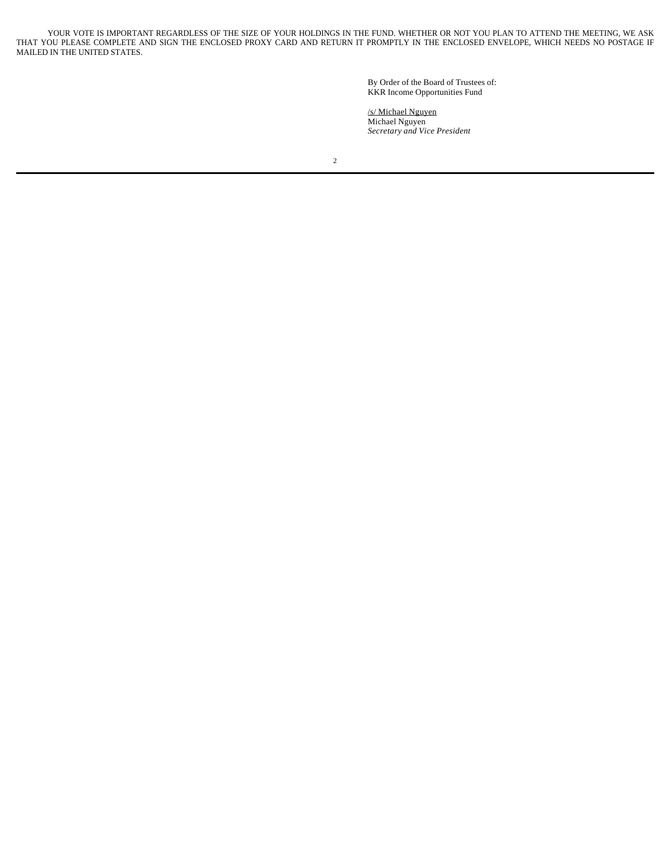YOUR VOTE IS IMPORTANT REGARDLESS OF THE SIZE OF YOUR HOLDINGS IN THE FUND. WHETHER OR NOT YOU PLAN TO ATTEND THE MEETING, WE ASK THAT YOU PLEASE COMPLETE AND SIGN THE ENCLOSED PROXY CARD AND RETURN IT PROMPTLY IN THE ENCLOSED ENVELOPE, WHICH NEEDS NO POSTAGE IF MAILED IN THE UNITED STATES.

> By Order of the Board of Trustees of: KKR Income Opportunities Fund

/s/ Michael Nguyen Michael Nguyen *Secretary and Vice President*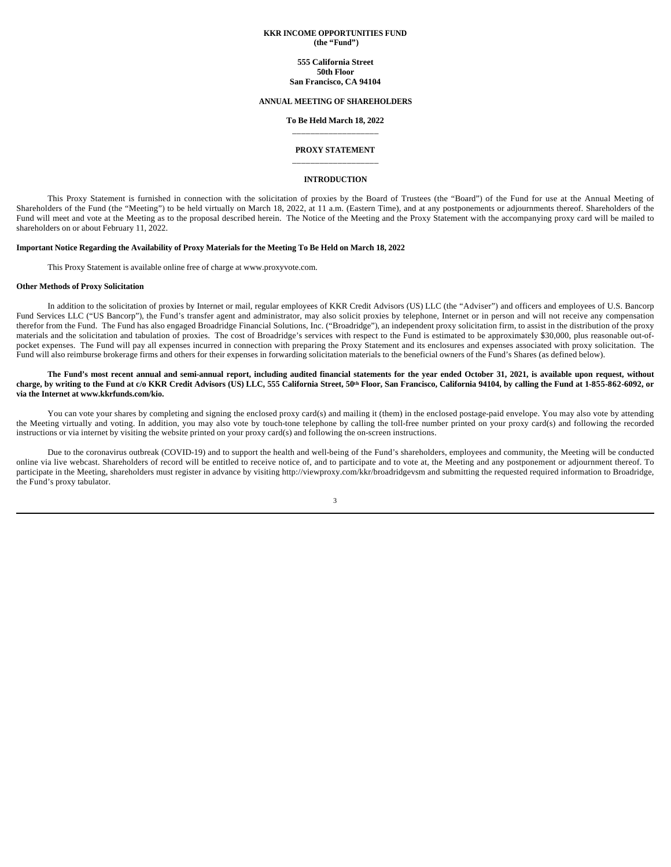## **KKR INCOME OPPORTUNITIES FUND (the "Fund")**

## **555 California Street 50th Floor**

**San Francisco, CA 94104**

## **ANNUAL MEETING OF SHAREHOLDERS**

## **To Be Held March 18, 2022** \_\_\_\_\_\_\_\_\_\_\_\_\_\_\_\_\_\_\_

## **PROXY STATEMENT** \_\_\_\_\_\_\_\_\_\_\_\_\_\_\_\_\_\_\_

#### **INTRODUCTION**

This Proxy Statement is furnished in connection with the solicitation of proxies by the Board of Trustees (the "Board") of the Fund for use at the Annual Meeting of Shareholders of the Fund (the "Meeting") to be held virtually on March 18, 2022, at 11 a.m. (Eastern Time), and at any postponements or adjournments thereof. Shareholders of the Fund will meet and vote at the Meeting as to the proposal described herein. The Notice of the Meeting and the Proxy Statement with the accompanying proxy card will be mailed to shareholders on or about February 11, 2022.

## **Important Notice Regarding the Availability of Proxy Materials for the Meeting To Be Held on March 18, 2022**

This Proxy Statement is available online free of charge at www.proxyvote.com.

## **Other Methods of Proxy Solicitation**

In addition to the solicitation of proxies by Internet or mail, regular employees of KKR Credit Advisors (US) LLC (the "Adviser") and officers and employees of U.S. Bancorp Fund Services LLC ("US Bancorp"), the Fund's transfer agent and administrator, may also solicit proxies by telephone, Internet or in person and will not receive any compensation therefor from the Fund. The Fund has also engaged Broadridge Financial Solutions, Inc. ("Broadridge"), an independent proxy solicitation firm, to assist in the distribution of the proxy materials and the solicitation and tabulation of proxies. The cost of Broadridge's services with respect to the Fund is estimated to be approximately \$30,000, plus reasonable out-ofpocket expenses. The Fund will pay all expenses incurred in connection with preparing the Proxy Statement and its enclosures and expenses associated with proxy solicitation. The Fund will also reimburse brokerage firms and others for their expenses in forwarding solicitation materials to the beneficial owners of the Fund's Shares (as defined below).

## The Fund's most recent annual and semi-annual report, including audited financial statements for the year ended October 31, 2021, is available upon request, without **charge, by writing to the Fund at c/o KKR Credit Advisors (US) LLC, 555 California Street, 50th Floor, San Francisco, California 94104, by calling the Fund at 1-855-862-6092, or via the Internet at www.kkrfunds.com/kio.**

You can vote your shares by completing and signing the enclosed proxy card(s) and mailing it (them) in the enclosed postage-paid envelope. You may also vote by attending the Meeting virtually and voting. In addition, you may also vote by touch-tone telephone by calling the toll-free number printed on your proxy card(s) and following the recorded instructions or via internet by visiting the website printed on your proxy card(s) and following the on-screen instructions.

Due to the coronavirus outbreak (COVID-19) and to support the health and well-being of the Fund's shareholders, employees and community, the Meeting will be conducted online via live webcast. Shareholders of record will be entitled to receive notice of, and to participate and to vote at, the Meeting and any postponement or adjournment thereof. To participate in the Meeting, shareholders must register in advance by visiting http://viewproxy.com/kkr/broadridgevsm and submitting the requested required information to Broadridge, the Fund's proxy tabulator.

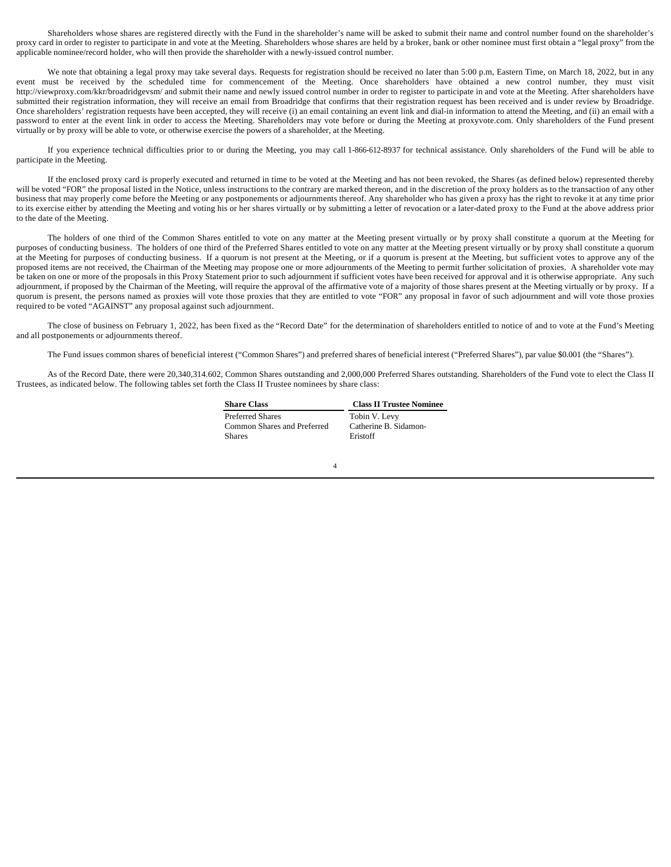Shareholders whose shares are registered directly with the Fund in the shareholder's name will be asked to submit their name and control number found on the shareholder's proxy card in order to register to participate in and vote at the Meeting. Shareholders whose shares are held by a broker, bank or other nominee must first obtain a "legal proxy" from the applicable nominee/record holder, who will then provide the shareholder with a newly-issued control number.

We note that obtaining a legal proxy may take several days. Requests for registration should be received no later than 5:00 p.m, Eastern Time, on March 18, 2022, but in any event must be received by the scheduled time for commencement of the Meeting. Once shareholders have obtained a new control number, they must visit http://viewproxy.com/kkr/broadridgevsm/ and submit their name and newly issued control number in order to register to participate in and vote at the Meeting. After shareholders have submitted their registration information, they will receive an email from Broadridge that confirms that their registration request has been received and is under review by Broadridge. Once shareholders' registration requests have been accepted, they will receive (i) an email containing an event link and dial-in information to attend the Meeting, and (ii) an email with a password to enter at the event link in order to access the Meeting. Shareholders may vote before or during the Meeting at proxyvote.com. Only shareholders of the Fund present virtually or by proxy will be able to vote, or otherwise exercise the powers of a shareholder, at the Meeting.

If you experience technical difficulties prior to or during the Meeting, you may call 1-866-612-8937 for technical assistance. Only shareholders of the Fund will be able to participate in the Meeting.

If the enclosed proxy card is properly executed and returned in time to be voted at the Meeting and has not been revoked, the Shares (as defined below) represented thereby will be voted "FOR" the proposal listed in the Notice, unless instructions to the contrary are marked thereon, and in the discretion of the proxy holders as to the transaction of any other business that may properly come before the Meeting or any postponements or adjournments thereof. Any shareholder who has given a proxy has the right to revoke it at any time prior to its exercise either by attending the Meeting and voting his or her shares virtually or by submitting a letter of revocation or a later-dated proxy to the Fund at the above address prior to the date of the Meeting.

The holders of one third of the Common Shares entitled to vote on any matter at the Meeting present virtually or by proxy shall constitute a quorum at the Meeting for purposes of conducting business. The holders of one third of the Preferred Shares entitled to vote on any matter at the Meeting present virtually or by proxy shall constitute a quorum at the Meeting for purposes of conducting business. If a quorum is not present at the Meeting, or if a quorum is present at the Meeting, but sufficient votes to approve any of the proposed items are not received, the Chairman of the Meeting may propose one or more adjournments of the Meeting to permit further solicitation of proxies. A shareholder vote may be taken on one or more of the proposals in this Proxy Statement prior to such adjournment if sufficient votes have been received for approval and it is otherwise appropriate. Any such adjournment, if proposed by the Chairman of the Meeting, will require the approval of the affirmative vote of a majority of those shares present at the Meeting virtually or by proxy. If a quorum is present, the persons named as proxies will vote those proxies that they are entitled to vote "FOR" any proposal in favor of such adjournment and will vote those proxies required to be voted "AGAINST" any proposal against such adjournment.

The close of business on February 1, 2022, has been fixed as the "Record Date" for the determination of shareholders entitled to notice of and to vote at the Fund's Meeting and all postponements or adjournments thereof.

The Fund issues common shares of beneficial interest ("Common Shares") and preferred shares of beneficial interest ("Preferred Shares"), par value \$0.001 (the "Shares").

As of the Record Date, there were 20,340,314.602, Common Shares outstanding and 2,000,000 Preferred Shares outstanding. Shareholders of the Fund vote to elect the Class II Trustees, as indicated below. The following tables set forth the Class II Trustee nominees by share class:

| <b>Share Class</b>                           | <b>Class II Trustee Nominee</b>   |
|----------------------------------------------|-----------------------------------|
| <b>Preferred Shares</b>                      | Tobin V. Levy                     |
| Common Shares and Preferred<br><b>Shares</b> | Catherine B. Sidamon-<br>Eristoff |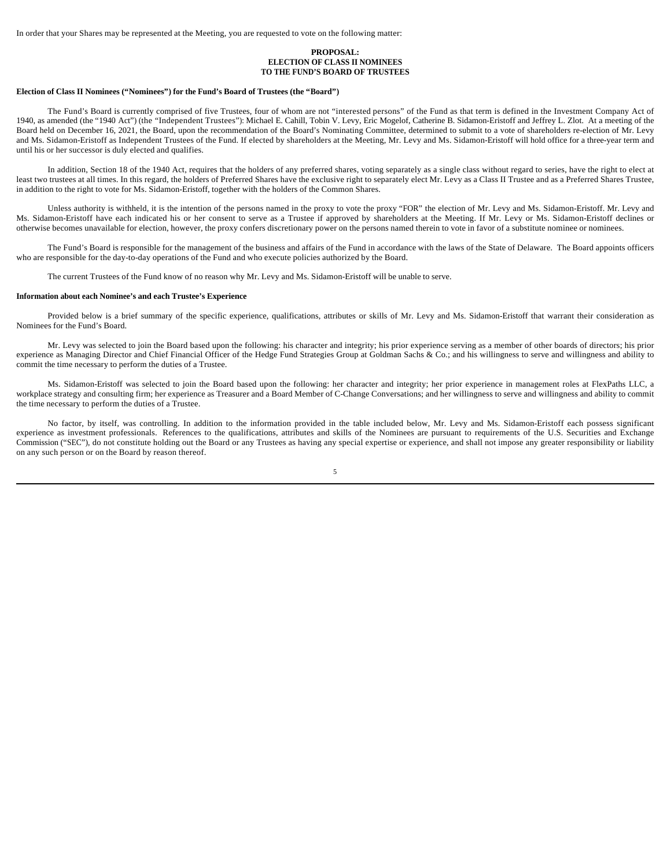In order that your Shares may be represented at the Meeting, you are requested to vote on the following matter:

## **PROPOSAL: ELECTION OF CLASS II NOMINEES TO THE FUND'S BOARD OF TRUSTEES**

#### **Election of Class II Nominees ("Nominees") for the Fund's Board of Trustees (the "Board")**

The Fund's Board is currently comprised of five Trustees, four of whom are not "interested persons" of the Fund as that term is defined in the Investment Company Act of 1940, as amended (the "1940 Act") (the "Independent Trustees"): Michael E. Cahill, Tobin V. Levy, Eric Mogelof, Catherine B. Sidamon-Eristoff and Jeffrey L. Zlot. At a meeting of the Board held on December 16, 2021, the Board, upon the recommendation of the Board's Nominating Committee, determined to submit to a vote of shareholders re-election of Mr. Levy and Ms. Sidamon-Eristoff as Independent Trustees of the Fund. If elected by shareholders at the Meeting, Mr. Levy and Ms. Sidamon-Eristoff will hold office for a three-year term and until his or her successor is duly elected and qualifies.

In addition, Section 18 of the 1940 Act, requires that the holders of any preferred shares, voting separately as a single class without regard to series, have the right to elect at least two trustees at all times. In this regard, the holders of Preferred Shares have the exclusive right to separately elect Mr. Levy as a Class II Trustee and as a Preferred Shares Trustee, in addition to the right to vote for Ms. Sidamon-Eristoff, together with the holders of the Common Shares.

Unless authority is withheld, it is the intention of the persons named in the proxy to vote the proxy "FOR" the election of Mr. Levy and Ms. Sidamon-Eristoff. Mr. Levy and Ms. Sidamon-Eristoff have each indicated his or her consent to serve as a Trustee if approved by shareholders at the Meeting. If Mr. Levy or Ms. Sidamon-Eristoff declines or otherwise becomes unavailable for election, however, the proxy confers discretionary power on the persons named therein to vote in favor of a substitute nominee or nominees.

The Fund's Board is responsible for the management of the business and affairs of the Fund in accordance with the laws of the State of Delaware. The Board appoints officers who are responsible for the day-to-day operations of the Fund and who execute policies authorized by the Board.

The current Trustees of the Fund know of no reason why Mr. Levy and Ms. Sidamon-Eristoff will be unable to serve.

#### **Information about each Nominee's and each Trustee's Experience**

Provided below is a brief summary of the specific experience, qualifications, attributes or skills of Mr. Levy and Ms. Sidamon-Eristoff that warrant their consideration as Nominees for the Fund's Board.

Mr. Levy was selected to join the Board based upon the following: his character and integrity; his prior experience serving as a member of other boards of directors; his prior experience as Managing Director and Chief Financial Officer of the Hedge Fund Strategies Group at Goldman Sachs & Co.; and his willingness to serve and willingness and ability to commit the time necessary to perform the duties of a Trustee.

Ms. Sidamon-Eristoff was selected to join the Board based upon the following: her character and integrity; her prior experience in management roles at FlexPaths LLC, a workplace strategy and consulting firm; her experience as Treasurer and a Board Member of C-Change Conversations; and her willingness to serve and willingness and ability to commit the time necessary to perform the duties of a Trustee.

No factor, by itself, was controlling. In addition to the information provided in the table included below, Mr. Levy and Ms. Sidamon-Eristoff each possess significant experience as investment professionals. References to the qualifications, attributes and skills of the Nominees are pursuant to requirements of the U.S. Securities and Exchange Commission ("SEC"), do not constitute holding out the Board or any Trustees as having any special expertise or experience, and shall not impose any greater responsibility or liability on any such person or on the Board by reason thereof.

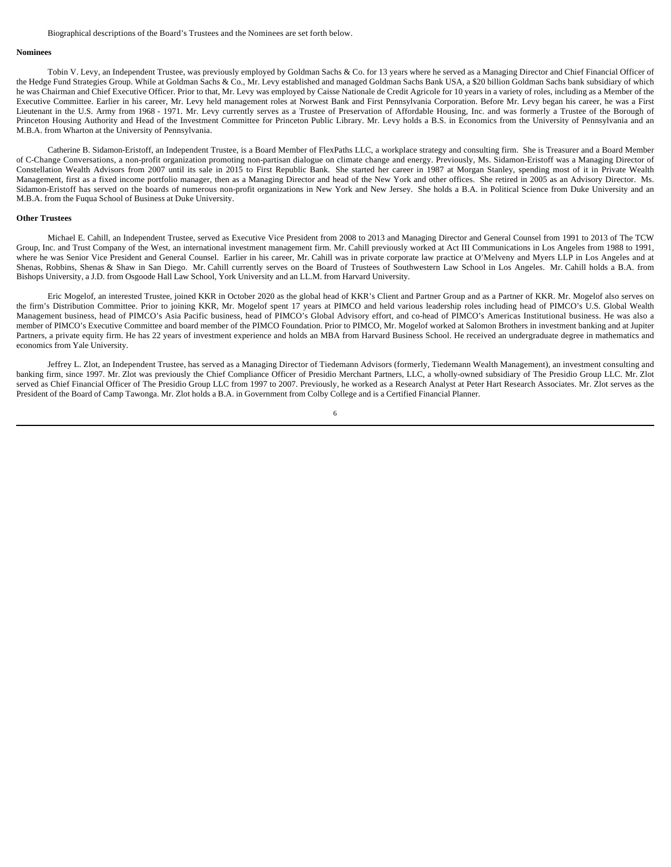### Biographical descriptions of the Board's Trustees and the Nominees are set forth below.

## **Nominees**

Tobin V. Levy, an Independent Trustee, was previously employed by Goldman Sachs & Co. for 13 years where he served as a Managing Director and Chief Financial Officer of the Hedge Fund Strategies Group. While at Goldman Sachs & Co., Mr. Levy established and managed Goldman Sachs Bank USA, a \$20 billion Goldman Sachs bank subsidiary of which he was Chairman and Chief Executive Officer. Prior to that, Mr. Levy was employed by Caisse Nationale de Credit Agricole for 10 years in a variety of roles, including as a Member of the Executive Committee. Earlier in his career, Mr. Levy held management roles at Norwest Bank and First Pennsylvania Corporation. Before Mr. Levy began his career, he was a First Lieutenant in the U.S. Army from 1968 - 1971. Mr. Levy currently serves as a Trustee of Preservation of Affordable Housing, Inc. and was formerly a Trustee of the Borough of Princeton Housing Authority and Head of the Investment Committee for Princeton Public Library. Mr. Levy holds a B.S. in Economics from the University of Pennsylvania and an M.B.A. from Wharton at the University of Pennsylvania.

Catherine B. Sidamon-Eristoff, an Independent Trustee, is a Board Member of FlexPaths LLC, a workplace strategy and consulting firm. She is Treasurer and a Board Member of C-Change Conversations, a non-profit organization promoting non-partisan dialogue on climate change and energy. Previously, Ms. Sidamon-Eristoff was a Managing Director of Constellation Wealth Advisors from 2007 until its sale in 2015 to First Republic Bank. She started her career in 1987 at Morgan Stanley, spending most of it in Private Wealth Management, first as a fixed income portfolio manager, then as a Managing Director and head of the New York and other offices. She retired in 2005 as an Advisory Director. Ms. Sidamon-Eristoff has served on the boards of numerous non-profit organizations in New York and New Jersey. She holds a B.A. in Political Science from Duke University and an M.B.A. from the Fuqua School of Business at Duke University.

#### **Other Trustees**

Michael E. Cahill, an Independent Trustee, served as Executive Vice President from 2008 to 2013 and Managing Director and General Counsel from 1991 to 2013 of The TCW Group, Inc. and Trust Company of the West, an international investment management firm. Mr. Cahill previously worked at Act III Communications in Los Angeles from 1988 to 1991, where he was Senior Vice President and General Counsel. Earlier in his career, Mr. Cahill was in private corporate law practice at O'Melveny and Myers LLP in Los Angeles and at Shenas, Robbins, Shenas & Shaw in San Diego. Mr. Cahill currently serves on the Board of Trustees of Southwestern Law School in Los Angeles. Mr. Cahill holds a B.A. from Bishops University, a J.D. from Osgoode Hall Law School, York University and an LL.M. from Harvard University.

Eric Mogelof, an interested Trustee, joined KKR in October 2020 as the global head of KKR's Client and Partner Group and as a Partner of KKR. Mr. Mogelof also serves on the firm's Distribution Committee. Prior to joining KKR, Mr. Mogelof spent 17 years at PIMCO and held various leadership roles including head of PIMCO's U.S. Global Wealth Management business, head of PIMCO's Asia Pacific business, head of PIMCO's Global Advisory effort, and co-head of PIMCO's Americas Institutional business. He was also a member of PIMCO's Executive Committee and board member of the PIMCO Foundation. Prior to PIMCO, Mr. Mogelof worked at Salomon Brothers in investment banking and at Jupiter Partners, a private equity firm. He has 22 years of investment experience and holds an MBA from Harvard Business School. He received an undergraduate degree in mathematics and economics from Yale University.

Jeffrey L. Zlot, an Independent Trustee, has served as a Managing Director of Tiedemann Advisors (formerly, Tiedemann Wealth Management), an investment consulting and banking firm, since 1997. Mr. Zlot was previously the Chief Compliance Officer of Presidio Merchant Partners, LLC, a wholly-owned subsidiary of The Presidio Group LLC. Mr. Zlot served as Chief Financial Officer of The Presidio Group LLC from 1997 to 2007. Previously, he worked as a Research Analyst at Peter Hart Research Associates. Mr. Zlot serves as the President of the Board of Camp Tawonga. Mr. Zlot holds a B.A. in Government from Colby College and is a Certified Financial Planner.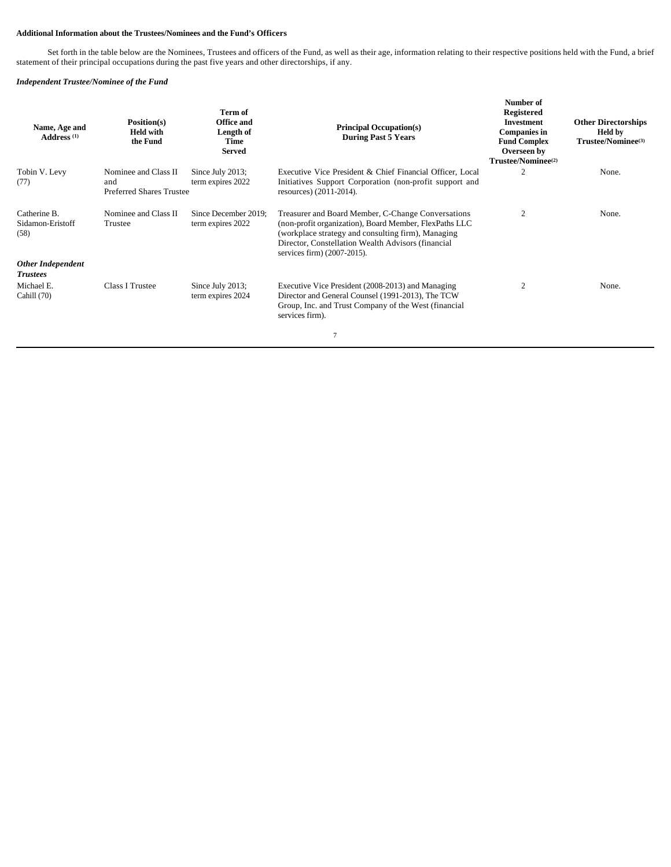## **Additional Information about the Trustees/Nominees and the Fund's Officers**

Set forth in the table below are the Nominees, Trustees and officers of the Fund, as well as their age, information relating to their respective positions held with the Fund, a brief statement of their principal occupations during the past five years and other directorships, if any.

## *Independent Trustee/Nominee of the Fund*

| Name, Age and<br>Address <sup>(1)</sup>     | Position(s)<br><b>Held with</b><br>the Fund                    | Term of<br><b>Office and</b><br>Length of<br>Time<br>Served | <b>Principal Occupation(s)</b><br><b>During Past 5 Years</b>                                                                                                                                                                                            | Number of<br><b>Registered</b><br><b>Investment</b><br><b>Companies in</b><br><b>Fund Complex</b><br>Overseen by<br>Trustee/Nominee <sup>(2)</sup> | <b>Other Directorships</b><br><b>Held by</b><br>Trustee/Nominee <sup>(3)</sup> |
|---------------------------------------------|----------------------------------------------------------------|-------------------------------------------------------------|---------------------------------------------------------------------------------------------------------------------------------------------------------------------------------------------------------------------------------------------------------|----------------------------------------------------------------------------------------------------------------------------------------------------|--------------------------------------------------------------------------------|
| Tobin V. Levy<br>(77)                       | Nominee and Class II<br>and<br><b>Preferred Shares Trustee</b> | Since July 2013;<br>term expires 2022                       | Executive Vice President & Chief Financial Officer, Local<br>Initiatives Support Corporation (non-profit support and<br>resources) (2011-2014).                                                                                                         |                                                                                                                                                    | None.                                                                          |
| Catherine B.<br>Sidamon-Eristoff<br>(58)    | Nominee and Class II<br>Trustee                                | Since December 2019:<br>term expires 2022                   | Treasurer and Board Member, C-Change Conversations<br>(non-profit organization), Board Member, FlexPaths LLC<br>(workplace strategy and consulting firm), Managing<br>Director, Constellation Wealth Advisors (financial<br>services firm) (2007-2015). | 2                                                                                                                                                  | None.                                                                          |
| <b>Other Independent</b><br><b>Trustees</b> |                                                                |                                                             |                                                                                                                                                                                                                                                         |                                                                                                                                                    |                                                                                |
| Michael E.<br>Cahill (70)                   | Class I Trustee                                                | Since July 2013;<br>term expires 2024                       | Executive Vice President (2008-2013) and Managing<br>Director and General Counsel (1991-2013), The TCW<br>Group, Inc. and Trust Company of the West (financial<br>services firm).                                                                       |                                                                                                                                                    | None.                                                                          |
|                                             |                                                                |                                                             | 7                                                                                                                                                                                                                                                       |                                                                                                                                                    |                                                                                |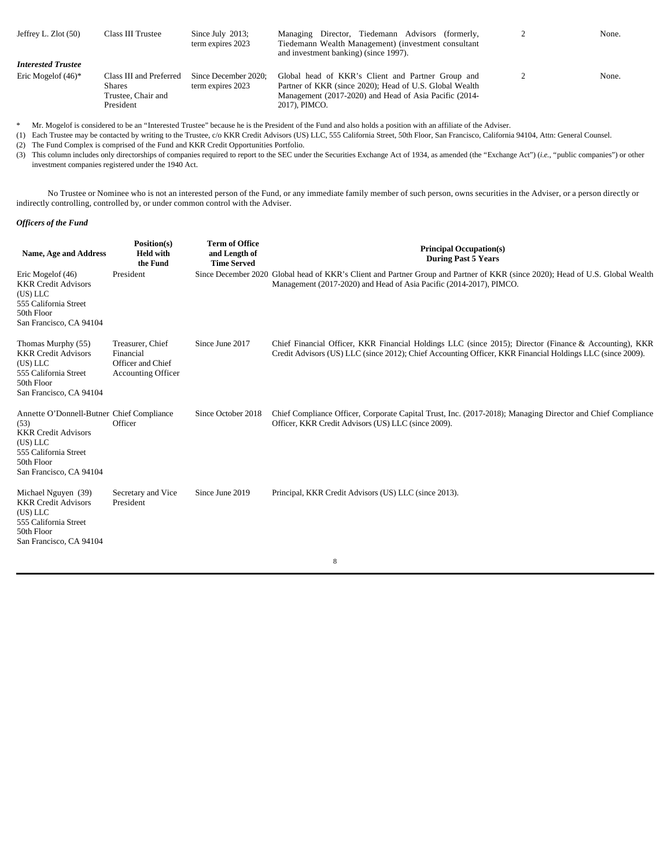| Jeffrey L. $Zlot(50)$     | Class III Trustee                                                           | Since July $2013$ ;<br>term expires 2023  | Managing Director, Tiedemann Advisors (formerly,<br>Tiedemann Wealth Management) (investment consultant<br>and investment banking) (since 1997).                                        | None. |
|---------------------------|-----------------------------------------------------------------------------|-------------------------------------------|-----------------------------------------------------------------------------------------------------------------------------------------------------------------------------------------|-------|
| <b>Interested Trustee</b> |                                                                             |                                           |                                                                                                                                                                                         |       |
| Eric Mogelof $(46)^*$     | Class III and Preferred<br><b>Shares</b><br>Trustee, Chair and<br>President | Since December 2020:<br>term expires 2023 | Global head of KKR's Client and Partner Group and<br>Partner of KKR (since 2020); Head of U.S. Global Wealth<br>Management (2017-2020) and Head of Asia Pacific (2014-<br>2017), PIMCO. | None. |

\* Mr. Mogelof is considered to be an "Interested Trustee" because he is the President of the Fund and also holds a position with an affiliate of the Adviser.

(1) Each Trustee may be contacted by writing to the Trustee, c/o KKR Credit Advisors (US) LLC, 555 California Street, 50th Floor, San Francisco, California 94104, Attn: General Counsel.

(2) The Fund Complex is comprised of the Fund and KKR Credit Opportunities Portfolio.

(3) This column includes only directorships of companies required to report to the SEC under the Securities Exchange Act of 1934, as amended (the "Exchange Act") (*i.e.*, "public companies") or other investment companies registered under the 1940 Act.

No Trustee or Nominee who is not an interested person of the Fund, or any immediate family member of such person, owns securities in the Adviser, or a person directly or indirectly controlling, controlled by, or under common control with the Adviser.

## *Officers of the Fund*

| Name, Age and Address                                                                                                                                         | Position(s)<br><b>Held with</b><br>the Fund                                     | <b>Term of Office</b><br>and Length of<br><b>Time Served</b> | <b>Principal Occupation(s)</b><br><b>During Past 5 Years</b>                                                                                                                                                        |
|---------------------------------------------------------------------------------------------------------------------------------------------------------------|---------------------------------------------------------------------------------|--------------------------------------------------------------|---------------------------------------------------------------------------------------------------------------------------------------------------------------------------------------------------------------------|
| Eric Mogelof (46)<br><b>KKR Credit Advisors</b><br>(US) LLC<br>555 California Street<br>50th Floor<br>San Francisco, CA 94104                                 | President                                                                       |                                                              | Since December 2020 Global head of KKR's Client and Partner Group and Partner of KKR (since 2020); Head of U.S. Global Wealth<br>Management (2017-2020) and Head of Asia Pacific (2014-2017), PIMCO.                |
| Thomas Murphy (55)<br><b>KKR Credit Advisors</b><br>(US) LLC<br>555 California Street<br>50th Floor<br>San Francisco, CA 94104                                | Treasurer, Chief<br>Financial<br>Officer and Chief<br><b>Accounting Officer</b> | Since June 2017                                              | Chief Financial Officer, KKR Financial Holdings LLC (since 2015); Director (Finance & Accounting), KKR<br>Credit Advisors (US) LLC (since 2012); Chief Accounting Officer, KKR Financial Holdings LLC (since 2009). |
| Annette O'Donnell-Butner Chief Compliance<br>(53)<br><b>KKR Credit Advisors</b><br>(US) LLC<br>555 California Street<br>50th Floor<br>San Francisco, CA 94104 | Officer                                                                         | Since October 2018                                           | Chief Compliance Officer, Corporate Capital Trust, Inc. (2017-2018); Managing Director and Chief Compliance<br>Officer, KKR Credit Advisors (US) LLC (since 2009).                                                  |
| Michael Nguyen (39)<br><b>KKR Credit Advisors</b><br>(US) LLC<br>555 California Street<br>50th Floor<br>San Francisco, CA 94104                               | Secretary and Vice<br>President                                                 | Since June 2019                                              | Principal, KKR Credit Advisors (US) LLC (since 2013).                                                                                                                                                               |
|                                                                                                                                                               |                                                                                 |                                                              | 8                                                                                                                                                                                                                   |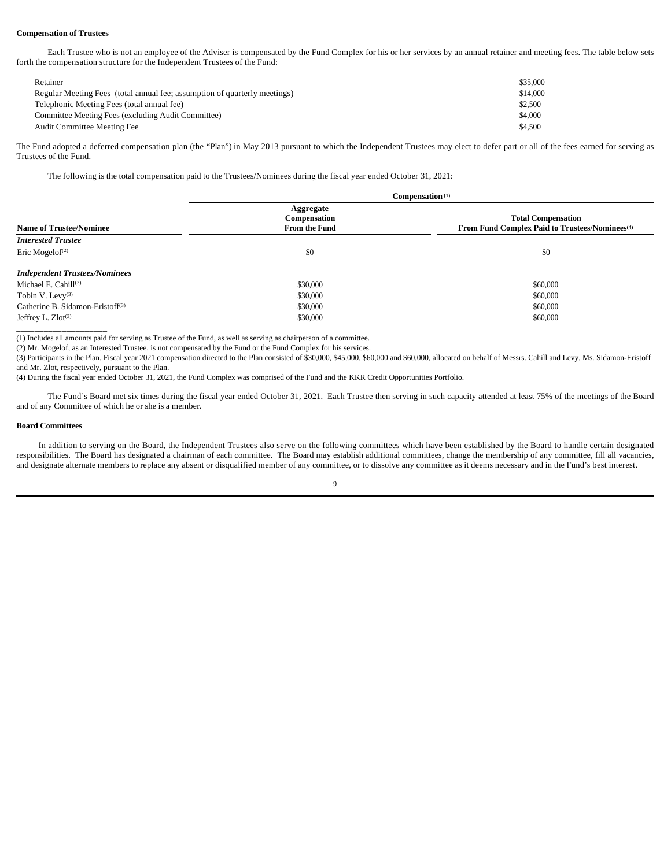## **Compensation of Trustees**

Each Trustee who is not an employee of the Adviser is compensated by the Fund Complex for his or her services by an annual retainer and meeting fees. The table below sets forth the compensation structure for the Independent Trustees of the Fund:

| Retainer                                                                  | \$35,000 |
|---------------------------------------------------------------------------|----------|
| Regular Meeting Fees (total annual fee; assumption of quarterly meetings) | \$14,000 |
| Telephonic Meeting Fees (total annual fee)                                | \$2,500  |
| Committee Meeting Fees (excluding Audit Committee)                        | \$4,000  |
| Audit Committee Meeting Fee                                               | \$4.500  |

The Fund adopted a deferred compensation plan (the "Plan") in May 2013 pursuant to which the Independent Trustees may elect to defer part or all of the fees earned for serving as Trustees of the Fund.

The following is the total compensation paid to the Trustees/Nominees during the fiscal year ended October 31, 2021:

|                                              | Compensation <sup>(1)</sup>                       |                                                                                         |  |
|----------------------------------------------|---------------------------------------------------|-----------------------------------------------------------------------------------------|--|
| <b>Name of Trustee/Nominee</b>               | Aggregate<br>Compensation<br><b>From the Fund</b> | <b>Total Compensation</b><br>From Fund Complex Paid to Trustees/Nominees <sup>(4)</sup> |  |
| <b>Interested Trustee</b>                    |                                                   |                                                                                         |  |
| Eric Mogelof <sup><math>(2)</math></sup>     | \$0                                               | \$0                                                                                     |  |
| <b>Independent Trustees/Nominees</b>         |                                                   |                                                                                         |  |
| Michael E. Cahill $(3)$                      | \$30,000                                          | \$60,000                                                                                |  |
| Tobin V. Levy $(3)$                          | \$30,000                                          | \$60,000                                                                                |  |
| Catherine B. Sidamon-Eristoff <sup>(3)</sup> | \$30,000                                          | \$60,000                                                                                |  |
| Jeffrey L. $Zlot^{(3)}$                      | \$30,000                                          | \$60,000                                                                                |  |
|                                              |                                                   |                                                                                         |  |

(1) Includes all amounts paid for serving as Trustee of the Fund, as well as serving as chairperson of a committee.

(2) Mr. Mogelof, as an Interested Trustee, is not compensated by the Fund or the Fund Complex for his services.

(3) Participants in the Plan. Fiscal year 2021 compensation directed to the Plan consisted of \$30,000, \$45,000, \$60,000 and \$60,000, allocated on behalf of Messrs. Cahill and Levy, Ms. Sidamon-Eristoff and Mr. Zlot, respectively, pursuant to the Plan.

(4) During the fiscal year ended October 31, 2021, the Fund Complex was comprised of the Fund and the KKR Credit Opportunities Portfolio.

The Fund's Board met six times during the fiscal year ended October 31, 2021. Each Trustee then serving in such capacity attended at least 75% of the meetings of the Board and of any Committee of which he or she is a member.

## **Board Committees**

In addition to serving on the Board, the Independent Trustees also serve on the following committees which have been established by the Board to handle certain designated responsibilities. The Board has designated a chairman of each committee. The Board may establish additional committees, change the membership of any committee, fill all vacancies, and designate alternate members to replace any absent or disqualified member of any committee, or to dissolve any committee as it deems necessary and in the Fund's best interest.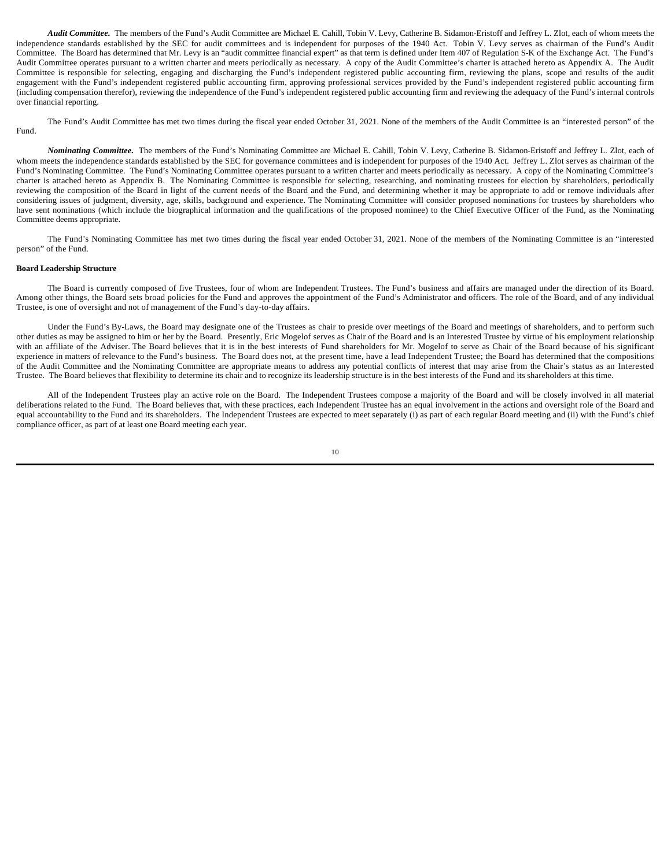*Audit Committee.* The members of the Fund's Audit Committee are Michael E. Cahill, Tobin V. Levy, Catherine B. Sidamon-Eristoff and Jeffrey L. Zlot, each of whom meets the independence standards established by the SEC for audit committees and is independent for purposes of the 1940 Act. Tobin V. Levy serves as chairman of the Fund's Audit Committee. The Board has determined that Mr. Levy is an "audit committee financial expert" as that term is defined under Item 407 of Regulation S-K of the Exchange Act. The Fund's Audit Committee operates pursuant to a written charter and meets periodically as necessary. A copy of the Audit Committee's charter is attached hereto as Appendix A. The Audit Committee is responsible for selecting, engaging and discharging the Fund's independent registered public accounting firm, reviewing the plans, scope and results of the audit engagement with the Fund's independent registered public accounting firm, approving professional services provided by the Fund's independent registered public accounting firm (including compensation therefor), reviewing the independence of the Fund's independent registered public accounting firm and reviewing the adequacy of the Fund's internal controls over financial reporting.

The Fund's Audit Committee has met two times during the fiscal year ended October 31, 2021. None of the members of the Audit Committee is an "interested person" of the Fund.

*Nominating Committee.* The members of the Fund's Nominating Committee are Michael E. Cahill, Tobin V. Levy, Catherine B. Sidamon-Eristoff and Jeffrey L. Zlot, each of whom meets the independence standards established by the SEC for governance committees and is independent for purposes of the 1940 Act. Jeffrey L. Zlot serves as chairman of the Fund's Nominating Committee. The Fund's Nominating Committee operates pursuant to a written charter and meets periodically as necessary. A copy of the Nominating Committee's charter is attached hereto as Appendix B. The Nominating Committee is responsible for selecting, researching, and nominating trustees for election by shareholders, periodically reviewing the composition of the Board in light of the current needs of the Board and the Fund, and determining whether it may be appropriate to add or remove individuals after considering issues of judgment, diversity, age, skills, background and experience. The Nominating Committee will consider proposed nominations for trustees by shareholders who have sent nominations (which include the biographical information and the qualifications of the proposed nominee) to the Chief Executive Officer of the Fund, as the Nominating Committee deems appropriate.

The Fund's Nominating Committee has met two times during the fiscal year ended October 31, 2021. None of the members of the Nominating Committee is an "interested person" of the Fund.

#### **Board Leadership Structure**

The Board is currently composed of five Trustees, four of whom are Independent Trustees. The Fund's business and affairs are managed under the direction of its Board. Among other things, the Board sets broad policies for the Fund and approves the appointment of the Fund's Administrator and officers. The role of the Board, and of any individual Trustee, is one of oversight and not of management of the Fund's day-to-day affairs.

Under the Fund's By-Laws, the Board may designate one of the Trustees as chair to preside over meetings of the Board and meetings of shareholders, and to perform such other duties as may be assigned to him or her by the Board. Presently, Eric Mogelof serves as Chair of the Board and is an Interested Trustee by virtue of his employment relationship with an affiliate of the Adviser. The Board believes that it is in the best interests of Fund shareholders for Mr. Mogelof to serve as Chair of the Board because of his significant experience in matters of relevance to the Fund's business. The Board does not, at the present time, have a lead Independent Trustee; the Board has determined that the compositions of the Audit Committee and the Nominating Committee are appropriate means to address any potential conflicts of interest that may arise from the Chair's status as an Interested Trustee. The Board believes that flexibility to determine its chair and to recognize its leadership structure is in the best interests of the Fund and its shareholders at this time.

All of the Independent Trustees play an active role on the Board. The Independent Trustees compose a majority of the Board and will be closely involved in all material deliberations related to the Fund. The Board believes that, with these practices, each Independent Trustee has an equal involvement in the actions and oversight role of the Board and equal accountability to the Fund and its shareholders. The Independent Trustees are expected to meet separately (i) as part of each regular Board meeting and (ii) with the Fund's chief compliance officer, as part of at least one Board meeting each year.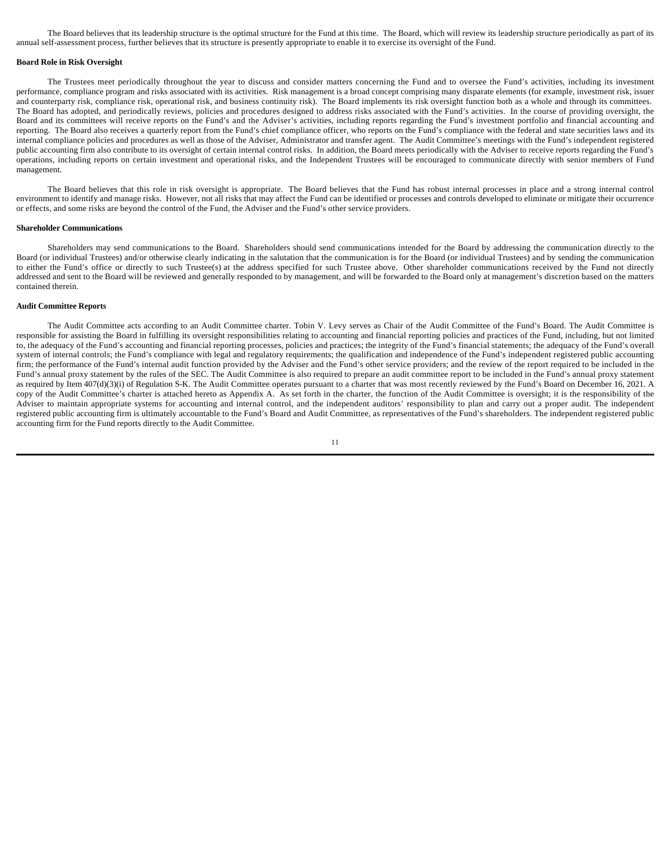The Board believes that its leadership structure is the optimal structure for the Fund at this time. The Board, which will review its leadership structure periodically as part of its annual self-assessment process, further believes that its structure is presently appropriate to enable it to exercise its oversight of the Fund.

#### **Board Role in Risk Oversight**

The Trustees meet periodically throughout the year to discuss and consider matters concerning the Fund and to oversee the Fund's activities, including its investment performance, compliance program and risks associated with its activities. Risk management is a broad concept comprising many disparate elements (for example, investment risk, issuer and counterparty risk, compliance risk, operational risk, and business continuity risk). The Board implements its risk oversight function both as a whole and through its committees. The Board has adopted, and periodically reviews, policies and procedures designed to address risks associated with the Fund's activities. In the course of providing oversight, the Board and its committees will receive reports on the Fund's and the Adviser's activities, including reports regarding the Fund's investment portfolio and financial accounting and reporting. The Board also receives a quarterly report from the Fund's chief compliance officer, who reports on the Fund's compliance with the federal and state securities laws and its internal compliance policies and procedures as well as those of the Adviser, Administrator and transfer agent. The Audit Committee's meetings with the Fund's independent registered public accounting firm also contribute to its oversight of certain internal control risks. In addition, the Board meets periodically with the Adviser to receive reports regarding the Fund's operations, including reports on certain investment and operational risks, and the Independent Trustees will be encouraged to communicate directly with senior members of Fund management.

The Board believes that this role in risk oversight is appropriate. The Board believes that the Fund has robust internal processes in place and a strong internal control environment to identify and manage risks. However, not all risks that may affect the Fund can be identified or processes and controls developed to eliminate or mitigate their occurrence or effects, and some risks are beyond the control of the Fund, the Adviser and the Fund's other service providers.

#### **Shareholder Communications**

Shareholders may send communications to the Board. Shareholders should send communications intended for the Board by addressing the communication directly to the Board (or individual Trustees) and/or otherwise clearly indicating in the salutation that the communication is for the Board (or individual Trustees) and by sending the communication to either the Fund's office or directly to such Trustee(s) at the address specified for such Trustee above. Other shareholder communications received by the Fund not directly addressed and sent to the Board will be reviewed and generally responded to by management, and will be forwarded to the Board only at management's discretion based on the matters contained therein.

## **Audit Committee Reports**

The Audit Committee acts according to an Audit Committee charter. Tobin V. Levy serves as Chair of the Audit Committee of the Fund's Board. The Audit Committee is responsible for assisting the Board in fulfilling its oversight responsibilities relating to accounting and financial reporting policies and practices of the Fund, including, but not limited to, the adequacy of the Fund's accounting and financial reporting processes, policies and practices; the integrity of the Fund's financial statements; the adequacy of the Fund's overall system of internal controls; the Fund's compliance with legal and regulatory requirements; the qualification and independence of the Fund's independent registered public accounting firm; the performance of the Fund's internal audit function provided by the Adviser and the Fund's other service providers; and the review of the report required to be included in the Fund's annual proxy statement by the rules of the SEC. The Audit Committee is also required to prepare an audit committee report to be included in the Fund's annual proxy statement as required by Item 407(d)(3)(i) of Regulation S-K. The Audit Committee operates pursuant to a charter that was most recently reviewed by the Fund's Board on December 16, 2021. A copy of the Audit Committee's charter is attached hereto as Appendix A. As set forth in the charter, the function of the Audit Committee is oversight; it is the responsibility of the Adviser to maintain appropriate systems for accounting and internal control, and the independent auditors' responsibility to plan and carry out a proper audit. The independent registered public accounting firm is ultimately accountable to the Fund's Board and Audit Committee, as representatives of the Fund's shareholders. The independent registered public accounting firm for the Fund reports directly to the Audit Committee.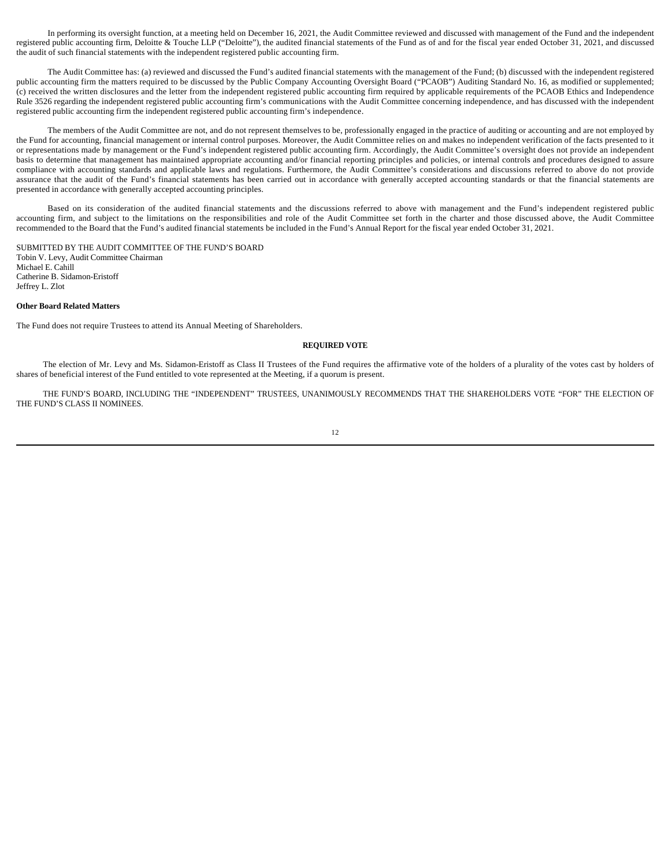In performing its oversight function, at a meeting held on December 16, 2021, the Audit Committee reviewed and discussed with management of the Fund and the independent registered public accounting firm, Deloitte & Touche LLP ("Deloitte"), the audited financial statements of the Fund as of and for the fiscal year ended October 31, 2021, and discussed the audit of such financial statements with the independent registered public accounting firm.

The Audit Committee has: (a) reviewed and discussed the Fund's audited financial statements with the management of the Fund; (b) discussed with the independent registered public accounting firm the matters required to be discussed by the Public Company Accounting Oversight Board ("PCAOB") Auditing Standard No. 16, as modified or supplemented; (c) received the written disclosures and the letter from the independent registered public accounting firm required by applicable requirements of the PCAOB Ethics and Independence Rule 3526 regarding the independent registered public accounting firm's communications with the Audit Committee concerning independence, and has discussed with the independent registered public accounting firm the independent registered public accounting firm's independence.

The members of the Audit Committee are not, and do not represent themselves to be, professionally engaged in the practice of auditing or accounting and are not employed by the Fund for accounting, financial management or internal control purposes. Moreover, the Audit Committee relies on and makes no independent verification of the facts presented to it or representations made by management or the Fund's independent registered public accounting firm. Accordingly, the Audit Committee's oversight does not provide an independent basis to determine that management has maintained appropriate accounting and/or financial reporting principles and policies, or internal controls and procedures designed to assure compliance with accounting standards and applicable laws and regulations. Furthermore, the Audit Committee's considerations and discussions referred to above do not provide assurance that the audit of the Fund's financial statements has been carried out in accordance with generally accepted accounting standards or that the financial statements are presented in accordance with generally accepted accounting principles.

Based on its consideration of the audited financial statements and the discussions referred to above with management and the Fund's independent registered public accounting firm, and subject to the limitations on the responsibilities and role of the Audit Committee set forth in the charter and those discussed above, the Audit Committee recommended to the Board that the Fund's audited financial statements be included in the Fund's Annual Report for the fiscal year ended October 31, 2021.

SUBMITTED BY THE AUDIT COMMITTEE OF THE FUND'S BOARD Tobin V. Levy, Audit Committee Chairman Michael E. Cahill Catherine B. Sidamon-Eristoff Jeffrey L. Zlot

## **Other Board Related Matters**

The Fund does not require Trustees to attend its Annual Meeting of Shareholders.

## **REQUIRED VOTE**

The election of Mr. Levy and Ms. Sidamon-Eristoff as Class II Trustees of the Fund requires the affirmative vote of the holders of a plurality of the votes cast by holders of shares of beneficial interest of the Fund entitled to vote represented at the Meeting, if a quorum is present.

THE FUND'S BOARD, INCLUDING THE "INDEPENDENT" TRUSTEES, UNANIMOUSLY RECOMMENDS THAT THE SHAREHOLDERS VOTE "FOR" THE ELECTION OF THE FUND'S CLASS II NOMINEES.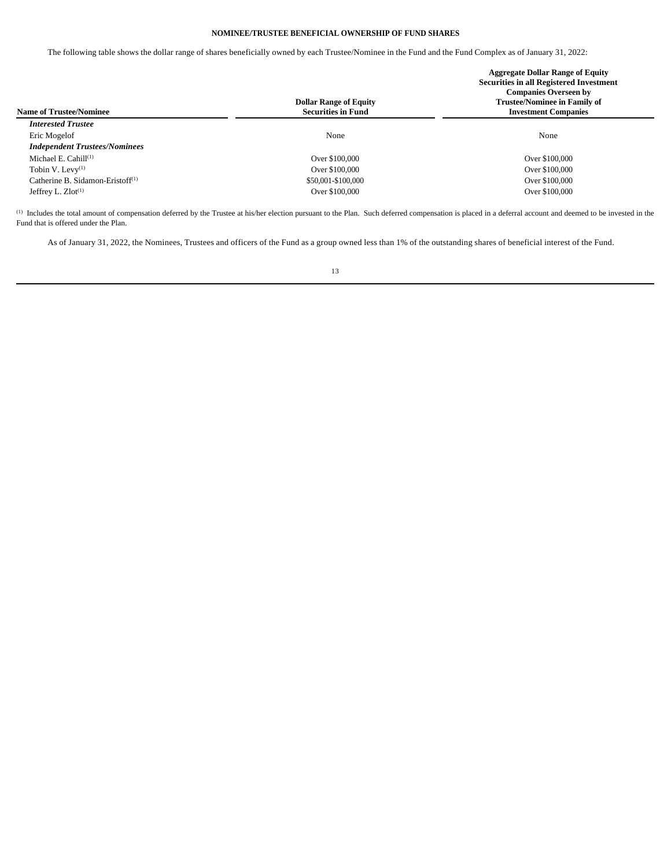## **NOMINEE/TRUSTEE BENEFICIAL OWNERSHIP OF FUND SHARES**

The following table shows the dollar range of shares beneficially owned by each Trustee/Nominee in the Fund and the Fund Complex as of January 31, 2022:

| <b>Name of Trustee/Nominee</b>       | <b>Dollar Range of Equity</b><br><b>Securities in Fund</b> | <b>Aggregate Dollar Range of Equity</b><br><b>Securities in all Registered Investment</b><br><b>Companies Overseen by</b><br><b>Trustee/Nominee in Family of</b><br><b>Investment Companies</b> |
|--------------------------------------|------------------------------------------------------------|-------------------------------------------------------------------------------------------------------------------------------------------------------------------------------------------------|
| <b>Interested Trustee</b>            |                                                            |                                                                                                                                                                                                 |
| Eric Mogelof                         | None                                                       | None                                                                                                                                                                                            |
| <b>Independent Trustees/Nominees</b> |                                                            |                                                                                                                                                                                                 |
| Michael E. Cahill $(1)$              | Over \$100,000                                             | Over \$100,000                                                                                                                                                                                  |
| Tobin V. Levy $(1)$                  | Over \$100,000                                             | Over \$100,000                                                                                                                                                                                  |
| Catherine B. Sidamon-Eristoff $(1)$  | \$50,001-\$100,000                                         | Over \$100,000                                                                                                                                                                                  |
| Jeffrey L. $Zlot^{(1)}$              | Over \$100,000                                             | Over \$100,000                                                                                                                                                                                  |

(1) Includes the total amount of compensation deferred by the Trustee at his/her election pursuant to the Plan. Such deferred compensation is placed in a deferral account and deemed to be invested in the Fund that is offered under the Plan.

As of January 31, 2022, the Nominees, Trustees and officers of the Fund as a group owned less than 1% of the outstanding shares of beneficial interest of the Fund.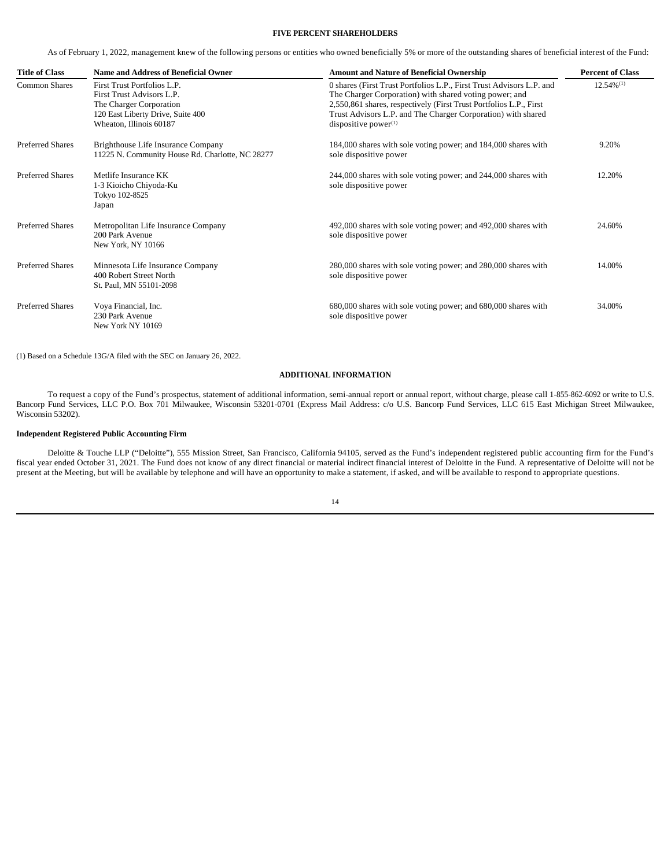## **FIVE PERCENT SHAREHOLDERS**

As of February 1, 2022, management knew of the following persons or entities who owned beneficially 5% or more of the outstanding shares of beneficial interest of the Fund:

| <b>Title of Class</b>   | Name and Address of Beneficial Owner                                                                                                                | <b>Amount and Nature of Beneficial Ownership</b>                                                                                                                                                                                                                                                | <b>Percent of Class</b> |
|-------------------------|-----------------------------------------------------------------------------------------------------------------------------------------------------|-------------------------------------------------------------------------------------------------------------------------------------------------------------------------------------------------------------------------------------------------------------------------------------------------|-------------------------|
| <b>Common Shares</b>    | First Trust Portfolios L.P.<br>First Trust Advisors L.P.<br>The Charger Corporation<br>120 East Liberty Drive, Suite 400<br>Wheaton, Illinois 60187 | 0 shares (First Trust Portfolios L.P., First Trust Advisors L.P. and<br>The Charger Corporation) with shared voting power; and<br>2,550,861 shares, respectively (First Trust Portfolios L.P., First<br>Trust Advisors L.P. and The Charger Corporation) with shared<br>dispositive power $(1)$ | $12.54\%^{(1)}$         |
| <b>Preferred Shares</b> | Brighthouse Life Insurance Company<br>11225 N. Community House Rd. Charlotte, NC 28277                                                              | 184,000 shares with sole voting power; and 184,000 shares with<br>sole dispositive power                                                                                                                                                                                                        | 9.20%                   |
| <b>Preferred Shares</b> | Metlife Insurance KK<br>1-3 Kioicho Chiyoda-Ku<br>Tokyo 102-8525<br>Japan                                                                           | 244,000 shares with sole voting power; and 244,000 shares with<br>sole dispositive power                                                                                                                                                                                                        | 12.20%                  |
| <b>Preferred Shares</b> | Metropolitan Life Insurance Company<br>200 Park Avenue<br>New York, NY 10166                                                                        | 492,000 shares with sole voting power; and 492,000 shares with<br>sole dispositive power                                                                                                                                                                                                        | 24.60%                  |
| <b>Preferred Shares</b> | Minnesota Life Insurance Company<br>400 Robert Street North<br>St. Paul, MN 55101-2098                                                              | 280,000 shares with sole voting power; and 280,000 shares with<br>sole dispositive power                                                                                                                                                                                                        | 14.00%                  |
| <b>Preferred Shares</b> | Voya Financial, Inc.<br>230 Park Avenue<br>New York NY 10169                                                                                        | 680,000 shares with sole voting power; and 680,000 shares with<br>sole dispositive power                                                                                                                                                                                                        | 34.00%                  |

(1) Based on a Schedule 13G/A filed with the SEC on January 26, 2022.

## **ADDITIONAL INFORMATION**

To request a copy of the Fund's prospectus, statement of additional information, semi-annual report or annual report, without charge, please call 1-855-862-6092 or write to U.S. Bancorp Fund Services, LLC P.O. Box 701 Milwaukee, Wisconsin 53201-0701 (Express Mail Address: c/o U.S. Bancorp Fund Services, LLC 615 East Michigan Street Milwaukee, Wisconsin 53202).

## **Independent Registered Public Accounting Firm**

Deloitte & Touche LLP ("Deloitte"), 555 Mission Street, San Francisco, California 94105, served as the Fund's independent registered public accounting firm for the Fund's fiscal year ended October 31, 2021. The Fund does not know of any direct financial or material indirect financial interest of Deloitte in the Fund. A representative of Deloitte will not be present at the Meeting, but will be available by telephone and will have an opportunity to make a statement, if asked, and will be available to respond to appropriate questions.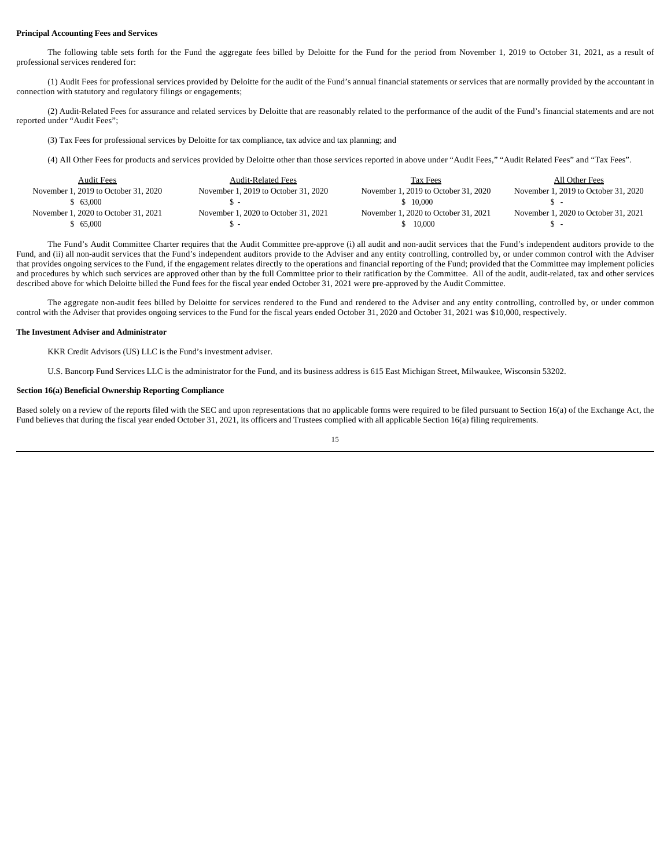### **Principal Accounting Fees and Services**

The following table sets forth for the Fund the aggregate fees billed by Deloitte for the Fund for the period from November 1, 2019 to October 31, 2021, as a result of professional services rendered for:

(1) Audit Fees for professional services provided by Deloitte for the audit of the Fund's annual financial statements or services that are normally provided by the accountant in connection with statutory and regulatory filings or engagements;

(2) Audit-Related Fees for assurance and related services by Deloitte that are reasonably related to the performance of the audit of the Fund's financial statements and are not reported under "Audit Fees";

(3) Tax Fees for professional services by Deloitte for tax compliance, tax advice and tax planning; and

(4) All Other Fees for products and services provided by Deloitte other than those services reported in above under "Audit Fees," "Audit Related Fees" and "Tax Fees".

| <b>Audit Fees</b>                    | <b>Audit-Related Fees</b>            | Tax Fees                             | All Other Fees                       |
|--------------------------------------|--------------------------------------|--------------------------------------|--------------------------------------|
| November 1, 2019 to October 31, 2020 | November 1, 2019 to October 31, 2020 | November 1, 2019 to October 31, 2020 | November 1, 2019 to October 31, 2020 |
| \$ 63,000                            |                                      | \$10,000                             |                                      |
| November 1, 2020 to October 31, 2021 | November 1, 2020 to October 31, 2021 | November 1, 2020 to October 31, 2021 | November 1, 2020 to October 31, 2021 |
| 65.000                               |                                      | 10,000                               |                                      |

The Fund's Audit Committee Charter requires that the Audit Committee pre-approve (i) all audit and non-audit services that the Fund's independent auditors provide to the Fund, and (ii) all non-audit services that the Fund's independent auditors provide to the Adviser and any entity controlling, controlled by, or under common control with the Adviser that provides ongoing services to the Fund, if the engagement relates directly to the operations and financial reporting of the Fund; provided that the Committee may implement policies and procedures by which such services are approved other than by the full Committee prior to their ratification by the Committee. All of the audit, audit-related, tax and other services described above for which Deloitte billed the Fund fees for the fiscal year ended October 31, 2021 were pre-approved by the Audit Committee.

The aggregate non-audit fees billed by Deloitte for services rendered to the Fund and rendered to the Adviser and any entity controlling, controlled by, or under common control with the Adviser that provides ongoing services to the Fund for the fiscal years ended October 31, 2020 and October 31, 2021 was \$10,000, respectively.

## **The Investment Adviser and Administrator**

KKR Credit Advisors (US) LLC is the Fund's investment adviser.

U.S. Bancorp Fund Services LLC is the administrator for the Fund, and its business address is 615 East Michigan Street, Milwaukee, Wisconsin 53202.

## **Section 16(a) Beneficial Ownership Reporting Compliance**

Based solely on a review of the reports filed with the SEC and upon representations that no applicable forms were required to be filed pursuant to Section 16(a) of the Exchange Act, the Fund believes that during the fiscal year ended October 31, 2021, its officers and Trustees complied with all applicable Section 16(a) filing requirements.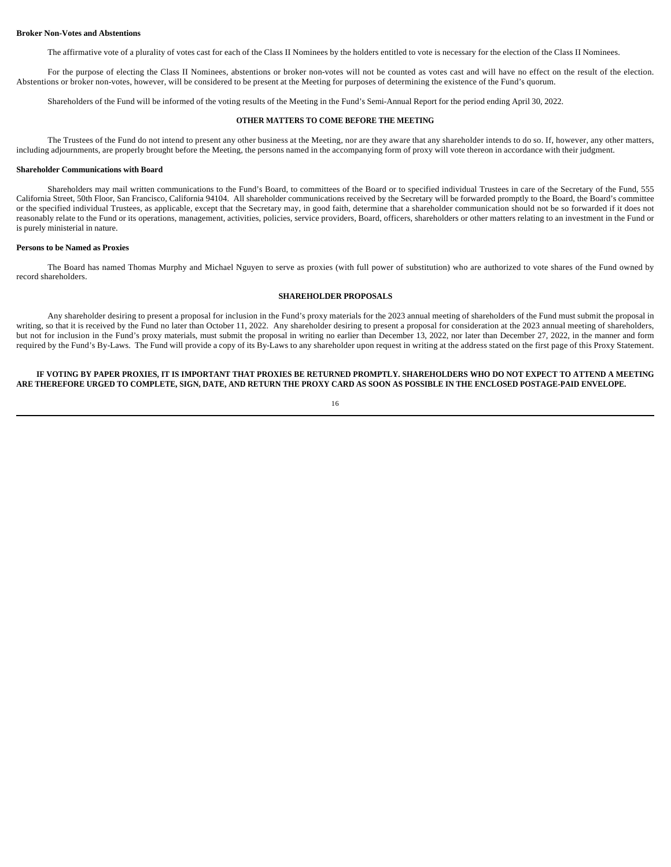#### **Broker Non-Votes and Abstentions**

The affirmative vote of a plurality of votes cast for each of the Class II Nominees by the holders entitled to vote is necessary for the election of the Class II Nominees.

For the purpose of electing the Class II Nominees, abstentions or broker non-votes will not be counted as votes cast and will have no effect on the result of the election. Abstentions or broker non-votes, however, will be considered to be present at the Meeting for purposes of determining the existence of the Fund's quorum.

Shareholders of the Fund will be informed of the voting results of the Meeting in the Fund's Semi-Annual Report for the period ending April 30, 2022.

## **OTHER MATTERS TO COME BEFORE THE MEETING**

The Trustees of the Fund do not intend to present any other business at the Meeting, nor are they aware that any shareholder intends to do so. If, however, any other matters, including adjournments, are properly brought before the Meeting, the persons named in the accompanying form of proxy will vote thereon in accordance with their judgment.

### **Shareholder Communications with Board**

Shareholders may mail written communications to the Fund's Board, to committees of the Board or to specified individual Trustees in care of the Secretary of the Fund, 555 California Street, 50th Floor, San Francisco, California 94104. All shareholder communications received by the Secretary will be forwarded promptly to the Board, the Board's committee or the specified individual Trustees, as applicable, except that the Secretary may, in good faith, determine that a shareholder communication should not be so forwarded if it does not reasonably relate to the Fund or its operations, management, activities, policies, service providers, Board, officers, shareholders or other matters relating to an investment in the Fund or is purely ministerial in nature.

## **Persons to be Named as Proxies**

The Board has named Thomas Murphy and Michael Nguyen to serve as proxies (with full power of substitution) who are authorized to vote shares of the Fund owned by record shareholders.

## **SHAREHOLDER PROPOSALS**

Any shareholder desiring to present a proposal for inclusion in the Fund's proxy materials for the 2023 annual meeting of shareholders of the Fund must submit the proposal in writing, so that it is received by the Fund no later than October 11, 2022. Any shareholder desiring to present a proposal for consideration at the 2023 annual meeting of shareholders, but not for inclusion in the Fund's proxy materials, must submit the proposal in writing no earlier than December 13, 2022, nor later than December 27, 2022, in the manner and form required by the Fund's By-Laws. The Fund will provide a copy of its By-Laws to any shareholder upon request in writing at the address stated on the first page of this Proxy Statement.

**IF VOTING BY PAPER PROXIES, IT IS IMPORTANT THAT PROXIES BE RETURNED PROMPTLY. SHAREHOLDERS WHO DO NOT EXPECT TO ATTEND A MEETING ARE THEREFORE URGED TO COMPLETE, SIGN, DATE, AND RETURN THE PROXY CARD AS SOON AS POSSIBLE IN THE ENCLOSED POSTAGE-PAID ENVELOPE.**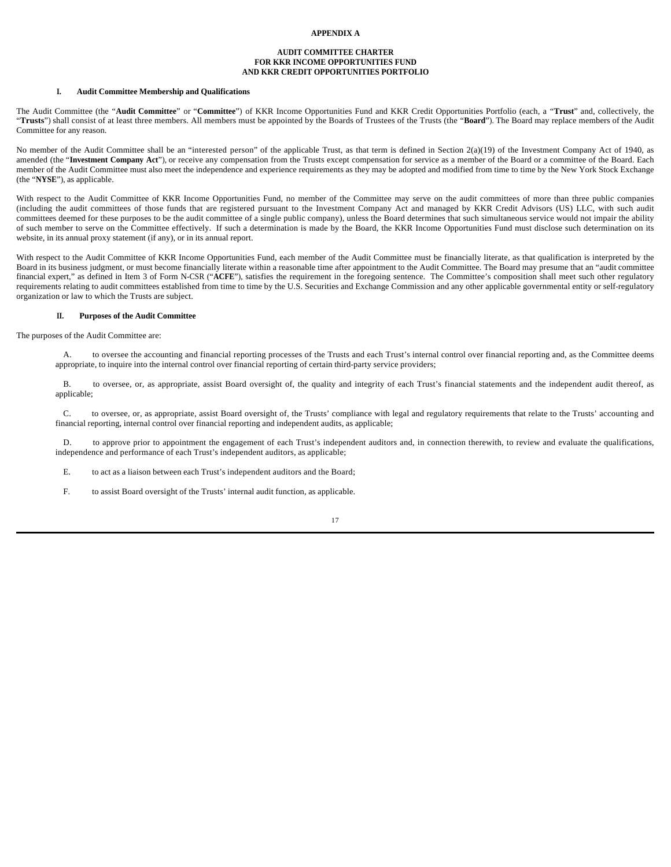## **APPENDIX A**

## **AUDIT COMMITTEE CHARTER FOR KKR INCOME OPPORTUNITIES FUND AND KKR CREDIT OPPORTUNITIES PORTFOLIO**

## **I. Audit Committee Membership and Qualifications**

The Audit Committee (the "**Audit Committee**" or "**Committee**") of KKR Income Opportunities Fund and KKR Credit Opportunities Portfolio (each, a "**Trust**" and, collectively, the "**Trusts**") shall consist of at least three members. All members must be appointed by the Boards of Trustees of the Trusts (the "**Board**"). The Board may replace members of the Audit Committee for any reason.

No member of the Audit Committee shall be an "interested person" of the applicable Trust, as that term is defined in Section 2(a)(19) of the Investment Company Act of 1940, as amended (the "Investment Company Act"), or receive any compensation from the Trusts except compensation for service as a member of the Board or a committee of the Board. Each member of the Audit Committee must also meet the independence and experience requirements as they may be adopted and modified from time to time by the New York Stock Exchange (the "**NYSE**"), as applicable.

With respect to the Audit Committee of KKR Income Opportunities Fund, no member of the Committee may serve on the audit committees of more than three public companies (including the audit committees of those funds that are registered pursuant to the Investment Company Act and managed by KKR Credit Advisors (US) LLC, with such audit committees deemed for these purposes to be the audit committee of a single public company), unless the Board determines that such simultaneous service would not impair the ability of such member to serve on the Committee effectively. If such a determination is made by the Board, the KKR Income Opportunities Fund must disclose such determination on its website, in its annual proxy statement (if any), or in its annual report.

With respect to the Audit Committee of KKR Income Opportunities Fund, each member of the Audit Committee must be financially literate, as that qualification is interpreted by the Board in its business judgment, or must become financially literate within a reasonable time after appointment to the Audit Committee. The Board may presume that an "audit committee financial expert," as defined in Item 3 of Form N-CSR ("**ACFE**"), satisfies the requirement in the foregoing sentence. The Committee's composition shall meet such other regulatory requirements relating to audit committees established from time to time by the U.S. Securities and Exchange Commission and any other applicable governmental entity or self-regulatory organization or law to which the Trusts are subject.

## **II. Purposes of the Audit Committee**

The purposes of the Audit Committee are:

A. to oversee the accounting and financial reporting processes of the Trusts and each Trust's internal control over financial reporting and, as the Committee deems appropriate, to inquire into the internal control over financial reporting of certain third-party service providers;

B. to oversee, or, as appropriate, assist Board oversight of, the quality and integrity of each Trust's financial statements and the independent audit thereof, as applicable;

C. to oversee, or, as appropriate, assist Board oversight of, the Trusts' compliance with legal and regulatory requirements that relate to the Trusts' accounting and financial reporting, internal control over financial reporting and independent audits, as applicable;

D. to approve prior to appointment the engagement of each Trust's independent auditors and, in connection therewith, to review and evaluate the qualifications, independence and performance of each Trust's independent auditors, as applicable;

E. to act as a liaison between each Trust's independent auditors and the Board;

F. to assist Board oversight of the Trusts' internal audit function, as applicable.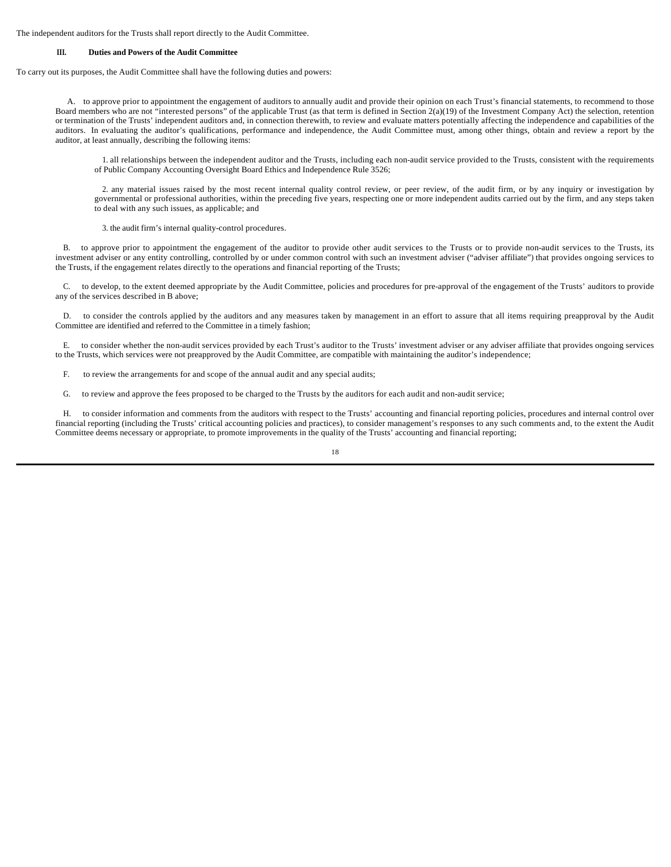The independent auditors for the Trusts shall report directly to the Audit Committee.

## **III. Duties and Powers of the Audit Committee**

To carry out its purposes, the Audit Committee shall have the following duties and powers:

A. to approve prior to appointment the engagement of auditors to annually audit and provide their opinion on each Trust's financial statements, to recommend to those Board members who are not "interested persons" of the applicable Trust (as that term is defined in Section 2(a)(19) of the Investment Company Act) the selection, retention or termination of the Trusts' independent auditors and, in connection therewith, to review and evaluate matters potentially affecting the independence and capabilities of the auditors. In evaluating the auditor's qualifications, performance and independence, the Audit Committee must, among other things, obtain and review a report by the auditor, at least annually, describing the following items:

1. all relationships between the independent auditor and the Trusts, including each non-audit service provided to the Trusts, consistent with the requirements of Public Company Accounting Oversight Board Ethics and Independence Rule 3526;

2. any material issues raised by the most recent internal quality control review, or peer review, of the audit firm, or by any inquiry or investigation by governmental or professional authorities, within the preceding five years, respecting one or more independent audits carried out by the firm, and any steps taken to deal with any such issues, as applicable; and

3. the audit firm's internal quality-control procedures.

B. to approve prior to appointment the engagement of the auditor to provide other audit services to the Trusts or to provide non-audit services to the Trusts, its investment adviser or any entity controlling, controlled by or under common control with such an investment adviser ("adviser affiliate") that provides ongoing services to the Trusts, if the engagement relates directly to the operations and financial reporting of the Trusts;

C. to develop, to the extent deemed appropriate by the Audit Committee, policies and procedures for pre-approval of the engagement of the Trusts' auditors to provide any of the services described in B above;

D. to consider the controls applied by the auditors and any measures taken by management in an effort to assure that all items requiring preapproval by the Audit Committee are identified and referred to the Committee in a timely fashion;

E. to consider whether the non-audit services provided by each Trust's auditor to the Trusts' investment adviser or any adviser affiliate that provides ongoing services to the Trusts, which services were not preapproved by the Audit Committee, are compatible with maintaining the auditor's independence;

F. to review the arrangements for and scope of the annual audit and any special audits;

G. to review and approve the fees proposed to be charged to the Trusts by the auditors for each audit and non-audit service;

H. to consider information and comments from the auditors with respect to the Trusts' accounting and financial reporting policies, procedures and internal control over financial reporting (including the Trusts' critical accounting policies and practices), to consider management's responses to any such comments and, to the extent the Audit Committee deems necessary or appropriate, to promote improvements in the quality of the Trusts' accounting and financial reporting;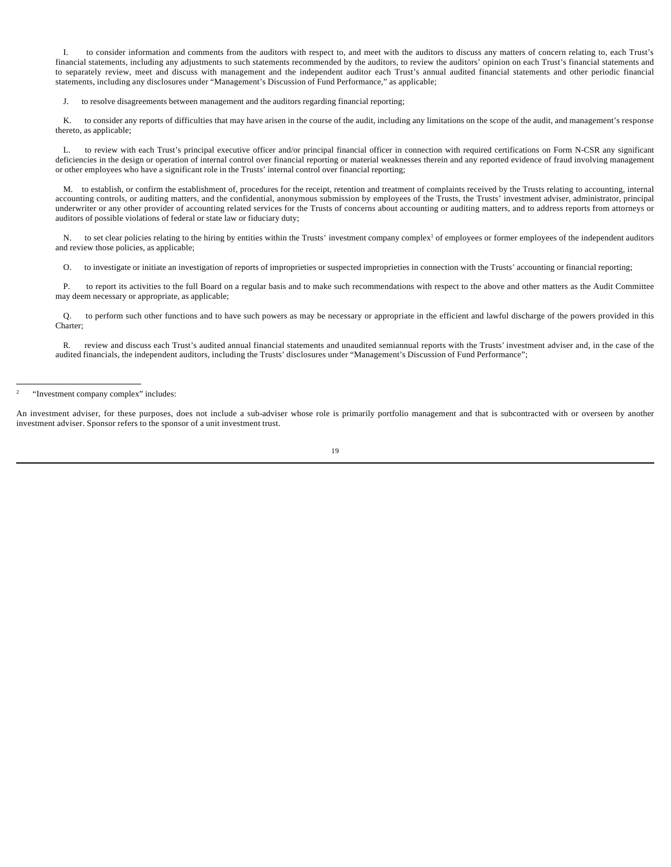I. to consider information and comments from the auditors with respect to, and meet with the auditors to discuss any matters of concern relating to, each Trust's financial statements, including any adjustments to such statements recommended by the auditors, to review the auditors' opinion on each Trust's financial statements and to separately review, meet and discuss with management and the independent auditor each Trust's annual audited financial statements and other periodic financial statements, including any disclosures under "Management's Discussion of Fund Performance," as applicable;

J. to resolve disagreements between management and the auditors regarding financial reporting;

to consider any reports of difficulties that may have arisen in the course of the audit, including any limitations on the scope of the audit, and management's response thereto, as applicable;

L. to review with each Trust's principal executive officer and/or principal financial officer in connection with required certifications on Form N-CSR any significant deficiencies in the design or operation of internal control over financial reporting or material weaknesses therein and any reported evidence of fraud involving management or other employees who have a significant role in the Trusts' internal control over financial reporting;

M. to establish, or confirm the establishment of, procedures for the receipt, retention and treatment of complaints received by the Trusts relating to accounting, internal accounting controls, or auditing matters, and the confidential, anonymous submission by employees of the Trusts, the Trusts' investment adviser, administrator, principal underwriter or any other provider of accounting related services for the Trusts of concerns about accounting or auditing matters, and to address reports from attorneys or auditors of possible violations of federal or state law or fiduciary duty;

N. to set clear policies relating to the hiring by entities within the Trusts' investment company complex<sup>1</sup> of employees or former employees of the independent auditors and review those policies, as applicable;

O. to investigate or initiate an investigation of reports of improprieties or suspected improprieties in connection with the Trusts' accounting or financial reporting;

P. to report its activities to the full Board on a regular basis and to make such recommendations with respect to the above and other matters as the Audit Committee may deem necessary or appropriate, as applicable;

Q. to perform such other functions and to have such powers as may be necessary or appropriate in the efficient and lawful discharge of the powers provided in this Charter;

R. review and discuss each Trust's audited annual financial statements and unaudited semiannual reports with the Trusts' investment adviser and, in the case of the audited financials, the independent auditors, including the Trusts' disclosures under "Management's Discussion of Fund Performance";

An investment adviser, for these purposes, does not include a sub-adviser whose role is primarily portfolio management and that is subcontracted with or overseen by another investment adviser. Sponsor refers to the sponsor of a unit investment trust.

<sup>2</sup> "Investment company complex" includes: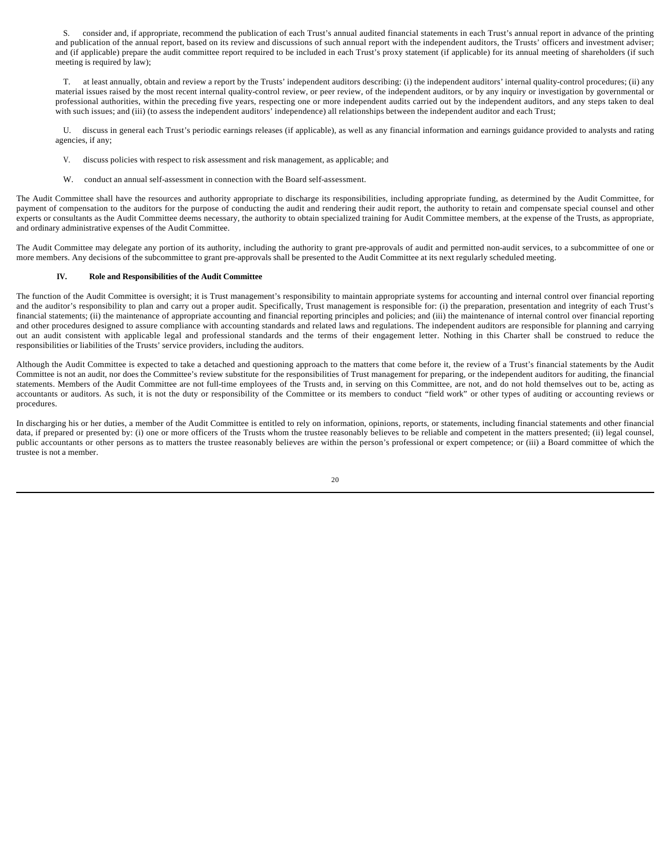S. consider and, if appropriate, recommend the publication of each Trust's annual audited financial statements in each Trust's annual report in advance of the printing and publication of the annual report, based on its review and discussions of such annual report with the independent auditors, the Trusts' officers and investment adviser; and (if applicable) prepare the audit committee report required to be included in each Trust's proxy statement (if applicable) for its annual meeting of shareholders (if such meeting is required by law);

T. at least annually, obtain and review a report by the Trusts' independent auditors describing: (i) the independent auditors' internal quality-control procedures; (ii) any material issues raised by the most recent internal quality-control review, or peer review, of the independent auditors, or by any inquiry or investigation by governmental or professional authorities, within the preceding five years, respecting one or more independent audits carried out by the independent auditors, and any steps taken to deal with such issues; and (iii) (to assess the independent auditors' independence) all relationships between the independent auditor and each Trust;

U. discuss in general each Trust's periodic earnings releases (if applicable), as well as any financial information and earnings guidance provided to analysts and rating agencies, if any;

- V. discuss policies with respect to risk assessment and risk management, as applicable; and
- W. conduct an annual self-assessment in connection with the Board self-assessment.

The Audit Committee shall have the resources and authority appropriate to discharge its responsibilities, including appropriate funding, as determined by the Audit Committee, for payment of compensation to the auditors for the purpose of conducting the audit and rendering their audit report, the authority to retain and compensate special counsel and other experts or consultants as the Audit Committee deems necessary, the authority to obtain specialized training for Audit Committee members, at the expense of the Trusts, as appropriate, and ordinary administrative expenses of the Audit Committee.

The Audit Committee may delegate any portion of its authority, including the authority to grant pre-approvals of audit and permitted non-audit services, to a subcommittee of one or more members. Any decisions of the subcommittee to grant pre-approvals shall be presented to the Audit Committee at its next regularly scheduled meeting.

## **IV. Role and Responsibilities of the Audit Committee**

The function of the Audit Committee is oversight; it is Trust management's responsibility to maintain appropriate systems for accounting and internal control over financial reporting and the auditor's responsibility to plan and carry out a proper audit. Specifically, Trust management is responsible for: (i) the preparation, presentation and integrity of each Trust's financial statements; (ii) the maintenance of appropriate accounting and financial reporting principles and policies; and (iii) the maintenance of internal control over financial reporting and other procedures designed to assure compliance with accounting standards and related laws and regulations. The independent auditors are responsible for planning and carrying out an audit consistent with applicable legal and professional standards and the terms of their engagement letter. Nothing in this Charter shall be construed to reduce the responsibilities or liabilities of the Trusts' service providers, including the auditors.

Although the Audit Committee is expected to take a detached and questioning approach to the matters that come before it, the review of a Trust's financial statements by the Audit Committee is not an audit, nor does the Committee's review substitute for the responsibilities of Trust management for preparing, or the independent auditors for auditing, the financial statements. Members of the Audit Committee are not full-time employees of the Trusts and, in serving on this Committee, are not, and do not hold themselves out to be, acting as accountants or auditors. As such, it is not the duty or responsibility of the Committee or its members to conduct "field work" or other types of auditing or accounting reviews or procedures.

In discharging his or her duties, a member of the Audit Committee is entitled to rely on information, opinions, reports, or statements, including financial statements and other financial data, if prepared or presented by: (i) one or more officers of the Trusts whom the trustee reasonably believes to be reliable and competent in the matters presented; (ii) legal counsel, public accountants or other persons as to matters the trustee reasonably believes are within the person's professional or expert competence; or (iii) a Board committee of which the trustee is not a member.

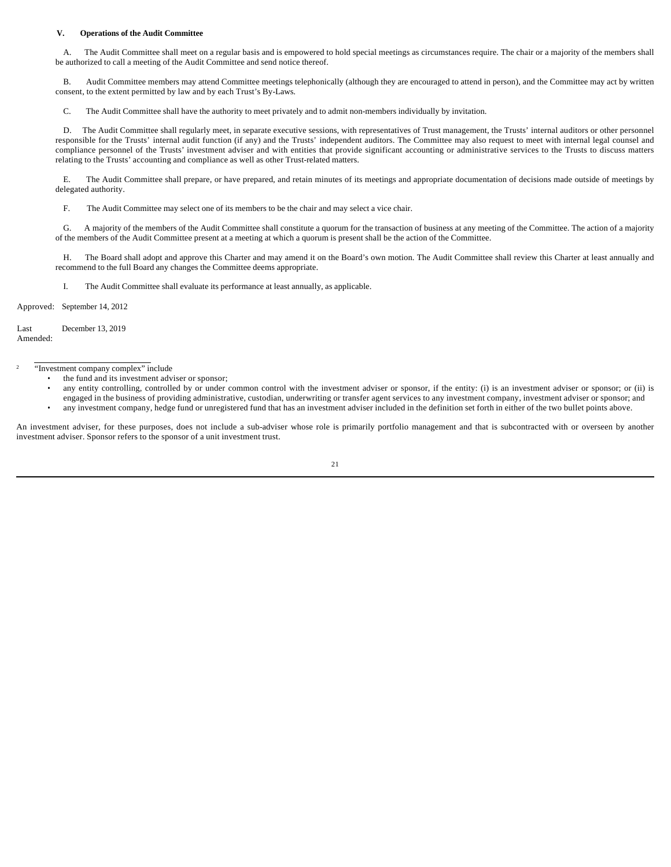## **V. Operations of the Audit Committee**

A. The Audit Committee shall meet on a regular basis and is empowered to hold special meetings as circumstances require. The chair or a majority of the members shall be authorized to call a meeting of the Audit Committee and send notice thereof.

B. Audit Committee members may attend Committee meetings telephonically (although they are encouraged to attend in person), and the Committee may act by written consent, to the extent permitted by law and by each Trust's By-Laws.

C. The Audit Committee shall have the authority to meet privately and to admit non-members individually by invitation.

D. The Audit Committee shall regularly meet, in separate executive sessions, with representatives of Trust management, the Trusts' internal auditors or other personnel responsible for the Trusts' internal audit function (if any) and the Trusts' independent auditors. The Committee may also request to meet with internal legal counsel and compliance personnel of the Trusts' investment adviser and with entities that provide significant accounting or administrative services to the Trusts to discuss matters relating to the Trusts' accounting and compliance as well as other Trust-related matters.

E. The Audit Committee shall prepare, or have prepared, and retain minutes of its meetings and appropriate documentation of decisions made outside of meetings by delegated authority.

F. The Audit Committee may select one of its members to be the chair and may select a vice chair.

G. A majority of the members of the Audit Committee shall constitute a quorum for the transaction of business at any meeting of the Committee. The action of a majority of the members of the Audit Committee present at a meeting at which a quorum is present shall be the action of the Committee.

H. The Board shall adopt and approve this Charter and may amend it on the Board's own motion. The Audit Committee shall review this Charter at least annually and recommend to the full Board any changes the Committee deems appropriate.

I. The Audit Committee shall evaluate its performance at least annually, as applicable.

Approved: September 14, 2012

Last Amended: December 13, 2019

#### 2 "Investment company complex" include

- the fund and its investment adviser or sponsor;
- any entity controlling, controlled by or under common control with the investment adviser or sponsor, if the entity: (i) is an investment adviser or sponsor; or (ii) is
- engaged in the business of providing administrative, custodian, underwriting or transfer agent services to any investment company, investment adviser or sponsor; and • any investment company, hedge fund or unregistered fund that has an investment adviser included in the definition set forth in either of the two bullet points above.

An investment adviser, for these purposes, does not include a sub-adviser whose role is primarily portfolio management and that is subcontracted with or overseen by another investment adviser. Sponsor refers to the sponsor of a unit investment trust.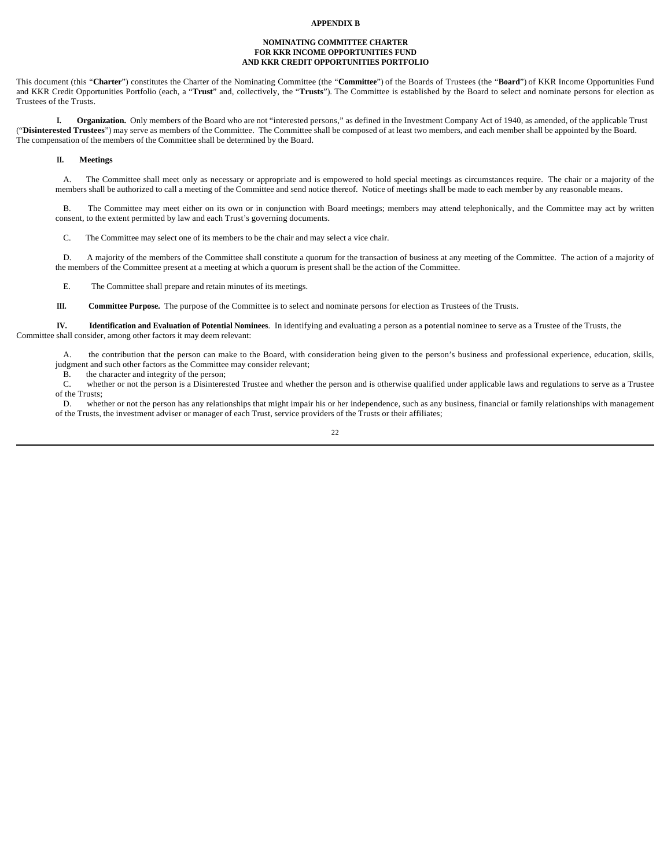## **APPENDIX B**

## **NOMINATING COMMITTEE CHARTER FOR KKR INCOME OPPORTUNITIES FUND AND KKR CREDIT OPPORTUNITIES PORTFOLIO**

This document (this "**Charter**") constitutes the Charter of the Nominating Committee (the "**Committee**") of the Boards of Trustees (the "**Board**") of KKR Income Opportunities Fund and KKR Credit Opportunities Portfolio (each, a "**Trust**" and, collectively, the "**Trusts**"). The Committee is established by the Board to select and nominate persons for election as Trustees of the Trusts.

**I. Organization.** Only members of the Board who are not "interested persons," as defined in the Investment Company Act of 1940, as amended, of the applicable Trust ("**Disinterested Trustees**") may serve as members of the Committee. The Committee shall be composed of at least two members, and each member shall be appointed by the Board. The compensation of the members of the Committee shall be determined by the Board.

#### **II. Meetings**

A. The Committee shall meet only as necessary or appropriate and is empowered to hold special meetings as circumstances require. The chair or a majority of the members shall be authorized to call a meeting of the Committee and send notice thereof. Notice of meetings shall be made to each member by any reasonable means.

B. The Committee may meet either on its own or in conjunction with Board meetings; members may attend telephonically, and the Committee may act by written consent, to the extent permitted by law and each Trust's governing documents.

C. The Committee may select one of its members to be the chair and may select a vice chair.

D. A majority of the members of the Committee shall constitute a quorum for the transaction of business at any meeting of the Committee. The action of a majority of the members of the Committee present at a meeting at which a quorum is present shall be the action of the Committee.

E. The Committee shall prepare and retain minutes of its meetings.

**III. Committee Purpose.** The purpose of the Committee is to select and nominate persons for election as Trustees of the Trusts.

**IV. Identification and Evaluation of Potential Nominees**. In identifying and evaluating a person as a potential nominee to serve as a Trustee of the Trusts, the Committee shall consider, among other factors it may deem relevant:

A. the contribution that the person can make to the Board, with consideration being given to the person's business and professional experience, education, skills, judgment and such other factors as the Committee may consider relevant;

B. the character and integrity of the person;<br>C. whether or not the person is a Disinteres

whether or not the person is a Disinterested Trustee and whether the person and is otherwise qualified under applicable laws and regulations to serve as a Trustee of the Trusts;

D. whether or not the person has any relationships that might impair his or her independence, such as any business, financial or family relationships with management of the Trusts, the investment adviser or manager of each Trust, service providers of the Trusts or their affiliates;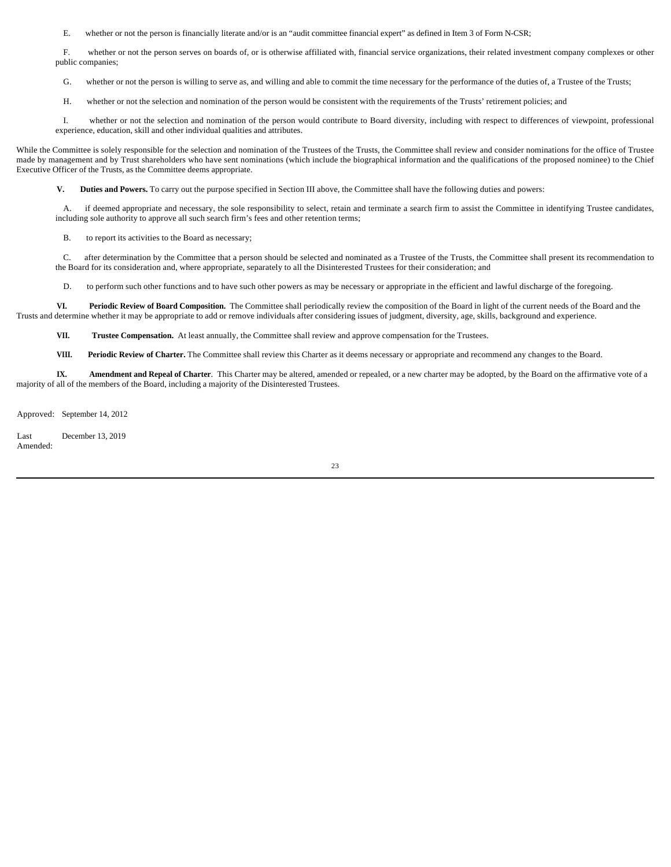E. whether or not the person is financially literate and/or is an "audit committee financial expert" as defined in Item 3 of Form N-CSR;

F. whether or not the person serves on boards of, or is otherwise affiliated with, financial service organizations, their related investment company complexes or other public companies;

G. whether or not the person is willing to serve as, and willing and able to commit the time necessary for the performance of the duties of, a Trustee of the Trusts;

H. whether or not the selection and nomination of the person would be consistent with the requirements of the Trusts' retirement policies; and

I. whether or not the selection and nomination of the person would contribute to Board diversity, including with respect to differences of viewpoint, professional experience, education, skill and other individual qualities and attributes.

While the Committee is solely responsible for the selection and nomination of the Trustees of the Trusts, the Committee shall review and consider nominations for the office of Trustee made by management and by Trust shareholders who have sent nominations (which include the biographical information and the qualifications of the proposed nominee) to the Chief Executive Officer of the Trusts, as the Committee deems appropriate.

**V. Duties and Powers.** To carry out the purpose specified in Section III above, the Committee shall have the following duties and powers:

A. if deemed appropriate and necessary, the sole responsibility to select, retain and terminate a search firm to assist the Committee in identifying Trustee candidates, including sole authority to approve all such search firm's fees and other retention terms;

B. to report its activities to the Board as necessary;

C. after determination by the Committee that a person should be selected and nominated as a Trustee of the Trusts, the Committee shall present its recommendation to the Board for its consideration and, where appropriate, separately to all the Disinterested Trustees for their consideration; and

D. to perform such other functions and to have such other powers as may be necessary or appropriate in the efficient and lawful discharge of the foregoing.

**VI. Periodic Review of Board Composition.** The Committee shall periodically review the composition of the Board in light of the current needs of the Board and the Trusts and determine whether it may be appropriate to add or remove individuals after considering issues of judgment, diversity, age, skills, background and experience.

**VII. Trustee Compensation.** At least annually, the Committee shall review and approve compensation for the Trustees.

**VIII. Periodic Review of Charter.** The Committee shall review this Charter as it deems necessary or appropriate and recommend any changes to the Board.

**IX. Amendment and Repeal of Charter**. This Charter may be altered, amended or repealed, or a new charter may be adopted, by the Board on the affirmative vote of a majority of all of the members of the Board, including a majority of the Disinterested Trustees.

Approved: September 14, 2012

Last Amended: December 13, 2019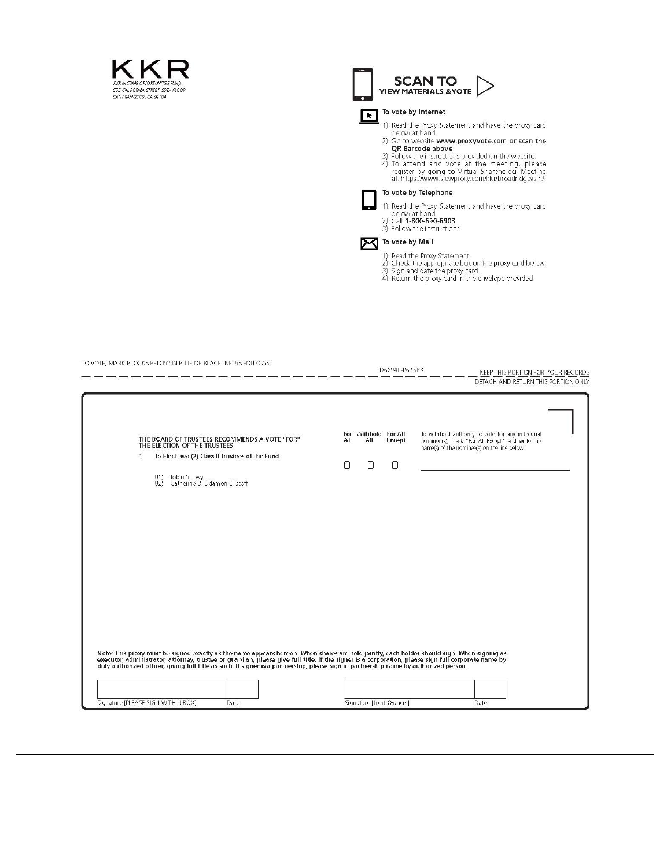



| TO VOTE, MARK BLOCKS BELOW IN BLUE OR BLACK INK AS FOLLOWS:                                                                                                                                                                      | D66940-P67563                                               | KEEP THIS PORTION FOR YOUR RECORDS<br>DETACH AND RETURN THIS PORTION ONLY                                                                           |
|----------------------------------------------------------------------------------------------------------------------------------------------------------------------------------------------------------------------------------|-------------------------------------------------------------|-----------------------------------------------------------------------------------------------------------------------------------------------------|
| THE BOARD OF TRUSTEES RECOMMENDS A VOTE "FOR"<br>THE ELECTION OF THE TRUSTEES.<br>To Elect two (2) Class II Trustees of the Fund:<br>1.<br>01) Tobin V. Levy<br>02) Catherine B. Sidamon-Eristoff                                | For Withhold For All<br>All<br>All<br>Except<br>0<br>Ω<br>0 | To withhold authority to vote for any individual<br>nominee(s), mark "For All Except" and write the<br>name(s) of the nominee(s) on the line below. |
| Note: This proxy must be signed exactly as the name appears hereon. When shares are held jointly, each holder should sign. When signing as<br>executor, administrator, attorney, trustee or guardian, please give full title. If |                                                             |                                                                                                                                                     |
| Signature [PLEASE SIGN WITHIN BOX]<br>Date                                                                                                                                                                                       | Signature [Joint Owners]                                    | Date                                                                                                                                                |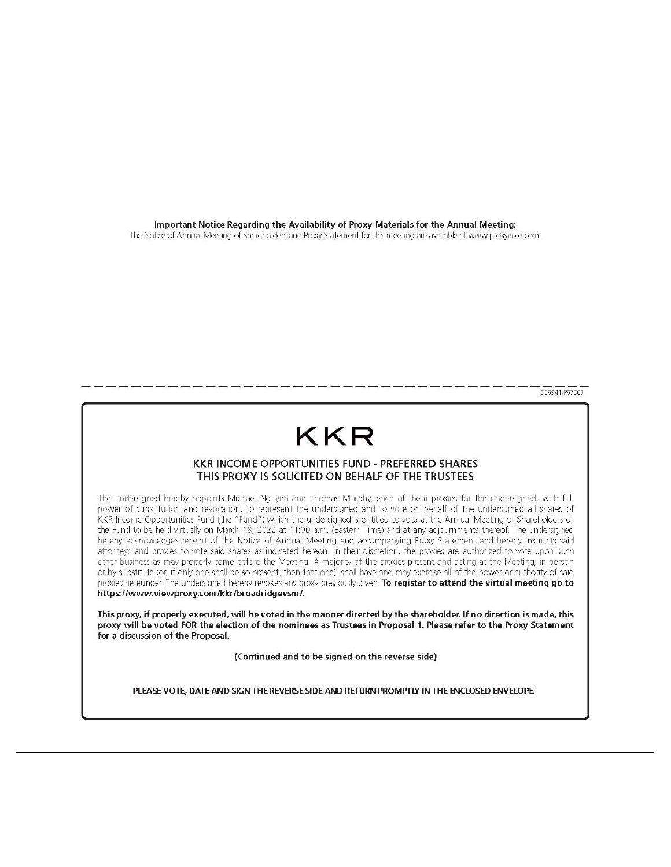Important Notice Regarding the Availability of Proxy Materials for the Annual Meeting: The Notice of Annual Meeting of Shareholders and Proxy Statement for this meeting are available at www.proxyvote.com.

D66941-P67563

## KKR

## **KKR INCOME OPPORTUNITIES FUND - PREFERRED SHARES** THIS PROXY IS SOLICITED ON BEHALF OF THE TRUSTEES

The undersigned hereby appoints Michael Nguyen and Thomas Murphy, each of them proxies for the undersigned, with full power of substitution and revocation, to represent the undersigned and to vote on behalf of the undersigned all shares of KKR Income Opportunities Fund (the "Fund") which the undersigned is entitled to vote at the Annual Meeting of Shareholders of the Fund to be held virtually on March 18, 2022 at 11:00 a.m. (Eastern Time) and at any adjournments thereof. The undersigned hereby acknowledges receipt of the Notice of Annual Meeting and accompanying Proxy Statement and hereby instructs said attorneys and proxies to vote said shares as indicated hereon. In their discretion, the proxies are authorized to vote upon such other business as may properly come before the Meeting. A majority of the proxies present and acting at the Meeting, in person or by substitute (or, if only one shall be so present, then that one), shall have and may exercise all of the power or authority of said proxies hereunder. The undersigned hereby revokes any proxy previously given. To register to attend the virtual meeting go to https://www.viewproxy.com/kkr/broadridgevsm/.

This proxy, if properly executed, will be voted in the manner directed by the shareholder. If no direction is made, this proxy will be voted FOR the election of the nominees as Trustees in Proposal 1. Please refer to the Proxy Statement for a discussion of the Proposal.

(Continued and to be signed on the reverse side)

PLEASE VOTE, DATE AND SIGN THE REVERSE SIDE AND RETURN PROMPTLY IN THE ENCLOSED ENVELOPE.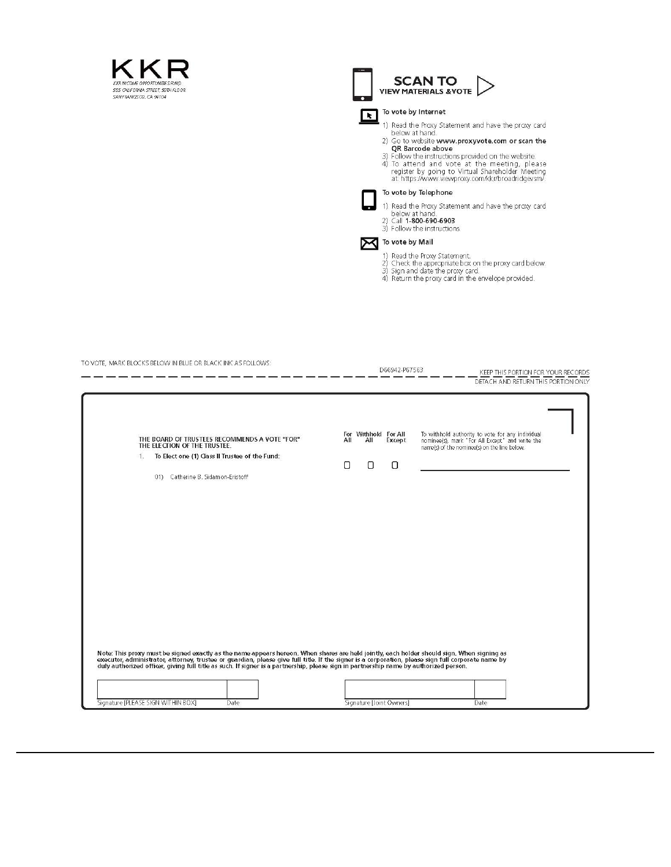



- 
- 

| TO VOTE, MARK BLOCKS BELOW IN BLUE OR BLACK INK AS FOLLOWS:                                                                                                                                                                      | D66942-P67563                                               | KEEP THIS PORTION FOR YOUR RECORDS<br>DETACH AND RETURN THIS PORTION ONLY                                                                           |
|----------------------------------------------------------------------------------------------------------------------------------------------------------------------------------------------------------------------------------|-------------------------------------------------------------|-----------------------------------------------------------------------------------------------------------------------------------------------------|
| THE BOARD OF TRUSTEES RECOMMENDS A VOTE "FOR"<br>THE ELECTION OF THE TRUSTEE.<br>To Elect one (1) Class II Trustee of the Fund:<br>$1$ .<br>01) Catherine B. Sidamon-Eristoff                                                    | For Withhold For All<br>All<br>Except<br>All<br>О<br>0<br>О | To withhold authority to vote for any individual<br>nominee(s), mark "For All Except" and write the<br>name(s) of the nominee(s) on the line below. |
|                                                                                                                                                                                                                                  |                                                             |                                                                                                                                                     |
| Note: This proxy must be signed exactly as the name appears hereon. When shares are held jointly, each holder should sign. When signing as<br>executor, administrator, attorney, trustee or guardian, please give full title. If |                                                             |                                                                                                                                                     |
| Signature [PLEASE SIGN WITHIN BOX]<br>Date                                                                                                                                                                                       | Signature [Joint Owners]                                    | Date                                                                                                                                                |